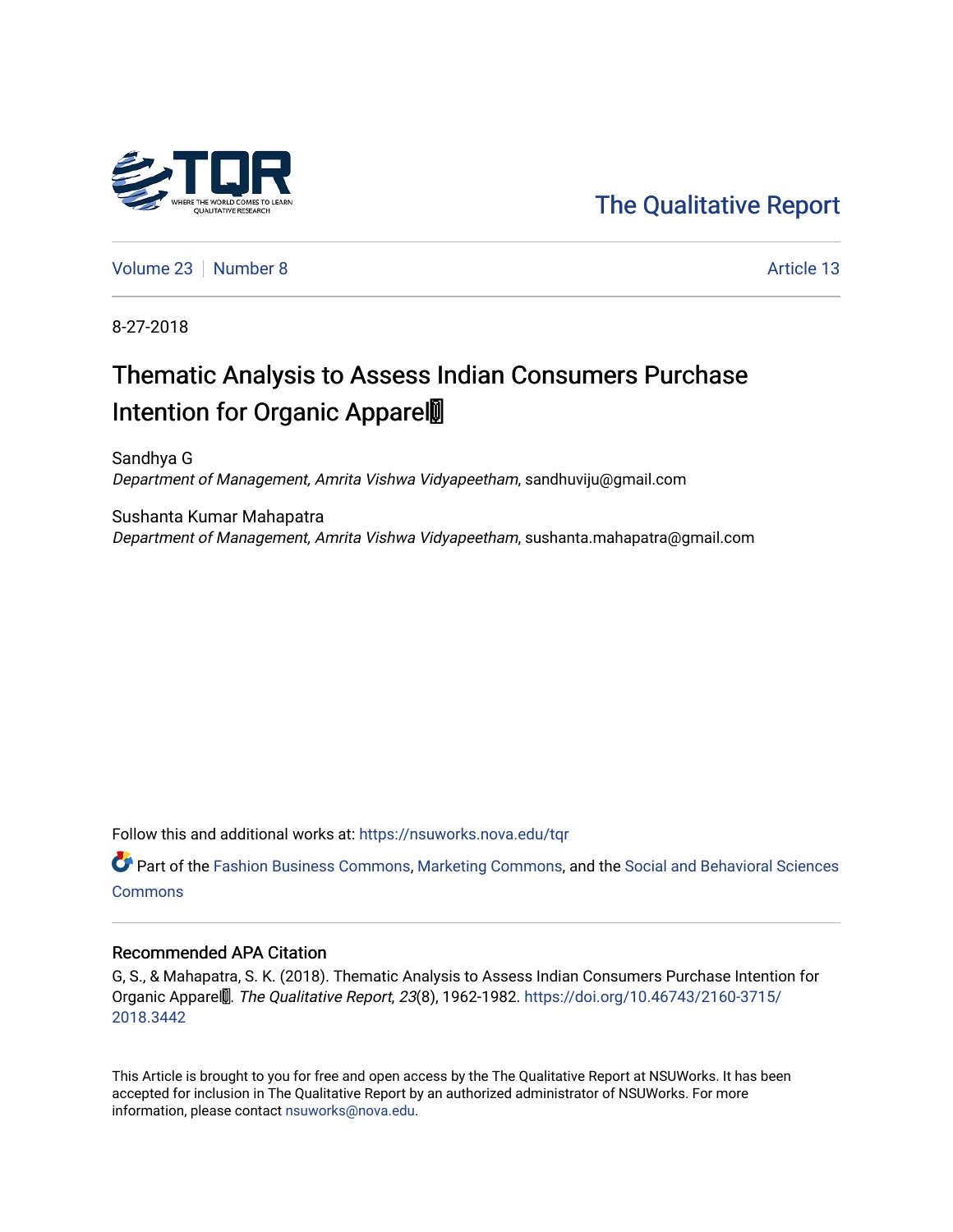

[The Qualitative Report](https://nsuworks.nova.edu/tqr) 

[Volume 23](https://nsuworks.nova.edu/tqr/vol23) [Number 8](https://nsuworks.nova.edu/tqr/vol23/iss8) Article 13

8-27-2018

## Thematic Analysis to Assess Indian Consumers Purchase Intention for Organic Apparel

Sandhya G Department of Management, Amrita Vishwa Vidyapeetham, sandhuviju@gmail.com

Sushanta Kumar Mahapatra Department of Management, Amrita Vishwa Vidyapeetham, sushanta.mahapatra@gmail.com

Follow this and additional works at: [https://nsuworks.nova.edu/tqr](https://nsuworks.nova.edu/tqr?utm_source=nsuworks.nova.edu%2Ftqr%2Fvol23%2Fiss8%2F13&utm_medium=PDF&utm_campaign=PDFCoverPages) 

Part of the [Fashion Business Commons,](http://network.bepress.com/hgg/discipline/1147?utm_source=nsuworks.nova.edu%2Ftqr%2Fvol23%2Fiss8%2F13&utm_medium=PDF&utm_campaign=PDFCoverPages) [Marketing Commons,](http://network.bepress.com/hgg/discipline/638?utm_source=nsuworks.nova.edu%2Ftqr%2Fvol23%2Fiss8%2F13&utm_medium=PDF&utm_campaign=PDFCoverPages) and the [Social and Behavioral Sciences](http://network.bepress.com/hgg/discipline/316?utm_source=nsuworks.nova.edu%2Ftqr%2Fvol23%2Fiss8%2F13&utm_medium=PDF&utm_campaign=PDFCoverPages) **[Commons](http://network.bepress.com/hgg/discipline/316?utm_source=nsuworks.nova.edu%2Ftqr%2Fvol23%2Fiss8%2F13&utm_medium=PDF&utm_campaign=PDFCoverPages)** 

#### Recommended APA Citation

G, S., & Mahapatra, S. K. (2018). Thematic Analysis to Assess Indian Consumers Purchase Intention for Organic Appare $\ddot{m}$ . The Qualitative Report, 23(8), 1962-1982. [https://doi.org/10.46743/2160-3715/](https://doi.org/10.46743/2160-3715/2018.3442) [2018.3442](https://doi.org/10.46743/2160-3715/2018.3442) 

This Article is brought to you for free and open access by the The Qualitative Report at NSUWorks. It has been accepted for inclusion in The Qualitative Report by an authorized administrator of NSUWorks. For more information, please contact [nsuworks@nova.edu.](mailto:nsuworks@nova.edu)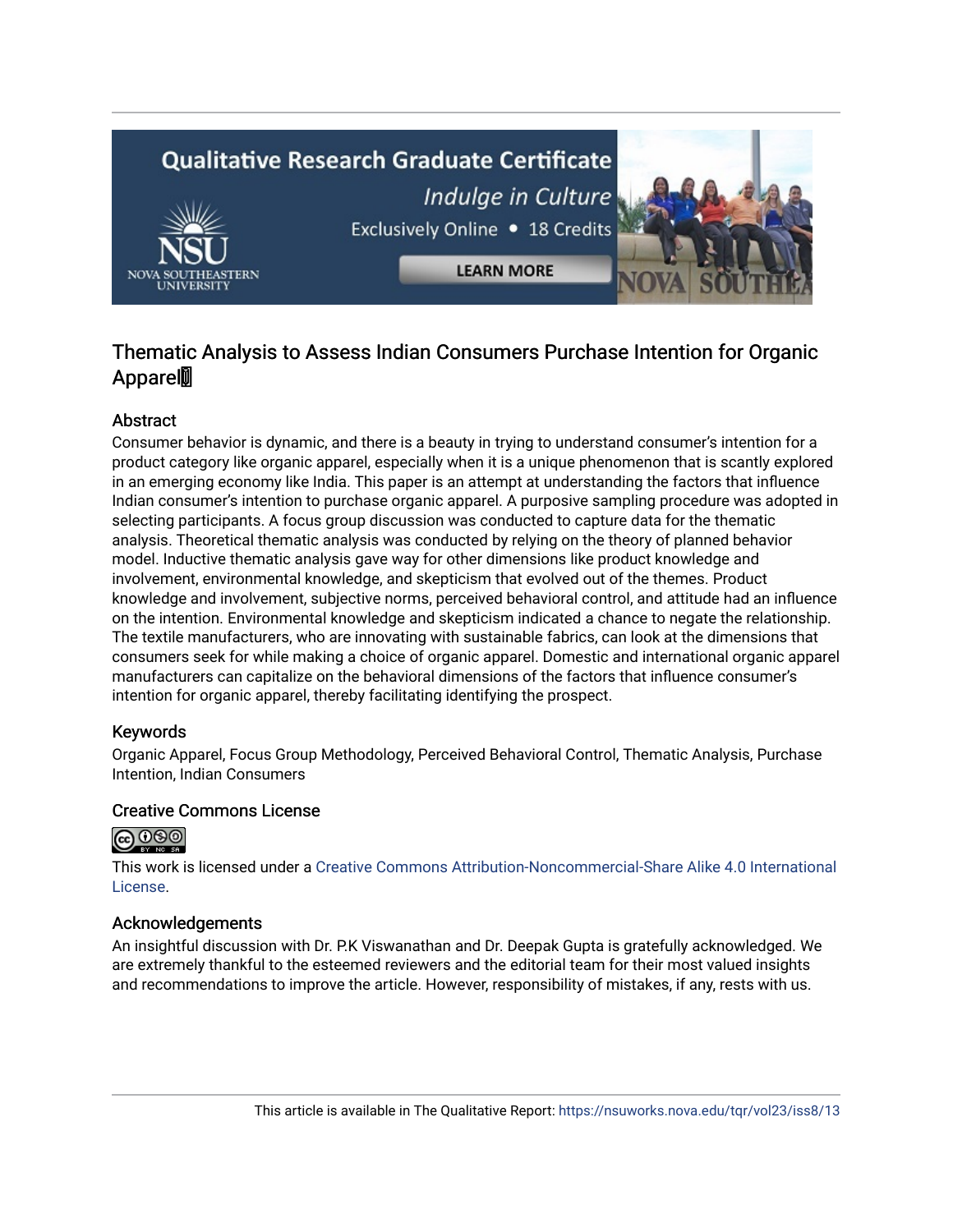# **Qualitative Research Graduate Certificate** Indulge in Culture Exclusively Online . 18 Credits **LEARN MORE**

### Thematic Analysis to Assess Indian Consumers Purchase Intention for Organic **Appare**l

#### Abstract

Consumer behavior is dynamic, and there is a beauty in trying to understand consumer's intention for a product category like organic apparel, especially when it is a unique phenomenon that is scantly explored in an emerging economy like India. This paper is an attempt at understanding the factors that influence Indian consumer's intention to purchase organic apparel. A purposive sampling procedure was adopted in selecting participants. A focus group discussion was conducted to capture data for the thematic analysis. Theoretical thematic analysis was conducted by relying on the theory of planned behavior model. Inductive thematic analysis gave way for other dimensions like product knowledge and involvement, environmental knowledge, and skepticism that evolved out of the themes. Product knowledge and involvement, subjective norms, perceived behavioral control, and attitude had an influence on the intention. Environmental knowledge and skepticism indicated a chance to negate the relationship. The textile manufacturers, who are innovating with sustainable fabrics, can look at the dimensions that consumers seek for while making a choice of organic apparel. Domestic and international organic apparel manufacturers can capitalize on the behavioral dimensions of the factors that influence consumer's intention for organic apparel, thereby facilitating identifying the prospect.

#### Keywords

Organic Apparel, Focus Group Methodology, Perceived Behavioral Control, Thematic Analysis, Purchase Intention, Indian Consumers

#### Creative Commons License



This work is licensed under a [Creative Commons Attribution-Noncommercial-Share Alike 4.0 International](https://creativecommons.org/licenses/by-nc-sa/4.0/)  [License](https://creativecommons.org/licenses/by-nc-sa/4.0/).

#### Acknowledgements

An insightful discussion with Dr. P.K Viswanathan and Dr. Deepak Gupta is gratefully acknowledged. We are extremely thankful to the esteemed reviewers and the editorial team for their most valued insights and recommendations to improve the article. However, responsibility of mistakes, if any, rests with us.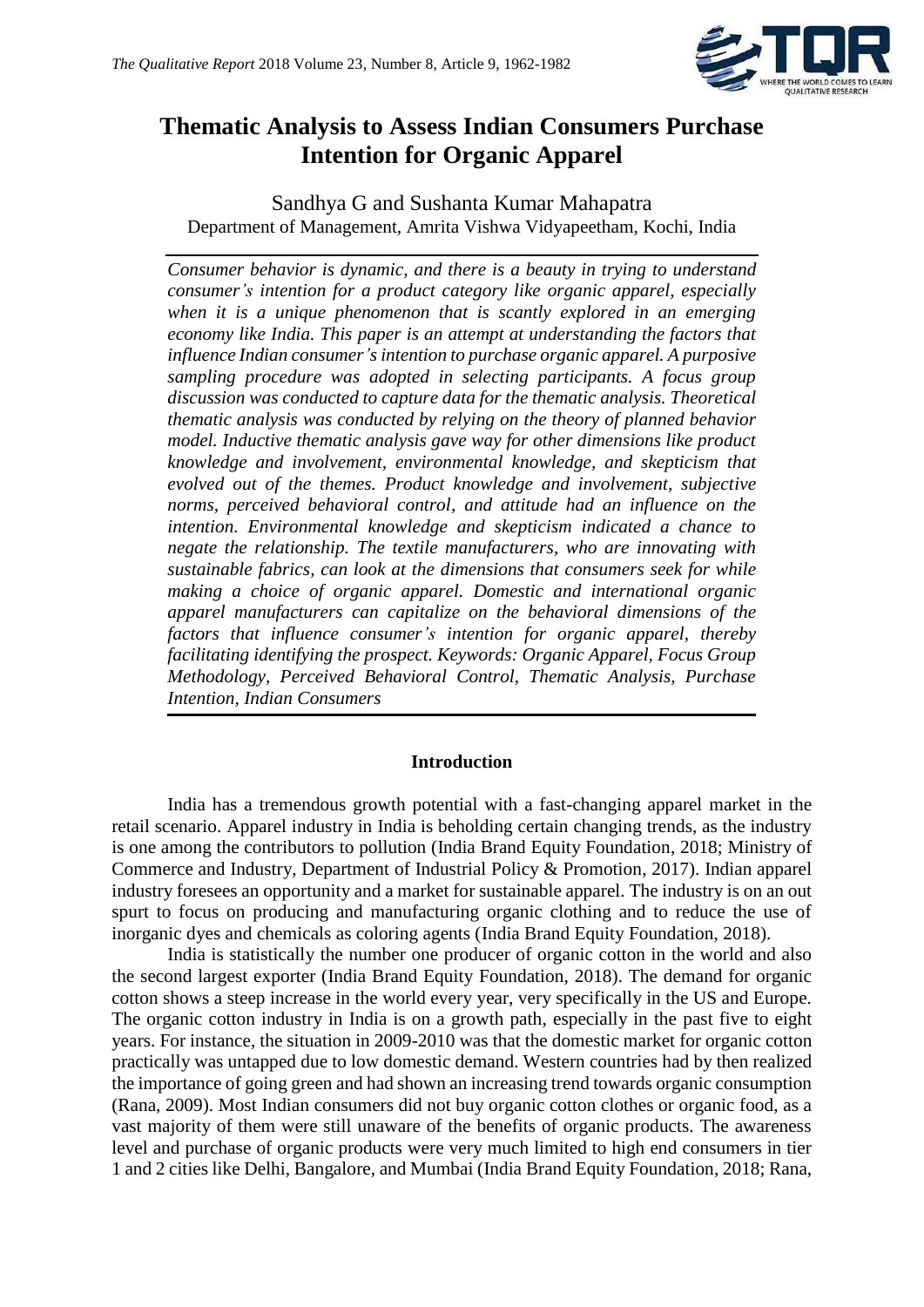

## **Thematic Analysis to Assess Indian Consumers Purchase Intention for Organic Apparel**

Sandhya G and Sushanta Kumar Mahapatra Department of Management, Amrita Vishwa Vidyapeetham, Kochi, India

*Consumer behavior is dynamic, and there is a beauty in trying to understand consumer's intention for a product category like organic apparel, especially when it is a unique phenomenon that is scantly explored in an emerging economy like India. This paper is an attempt at understanding the factors that influence Indian consumer's intention to purchase organic apparel. A purposive sampling procedure was adopted in selecting participants. A focus group discussion was conducted to capture data for the thematic analysis. Theoretical thematic analysis was conducted by relying on the theory of planned behavior model. Inductive thematic analysis gave way for other dimensions like product knowledge and involvement, environmental knowledge, and skepticism that evolved out of the themes. Product knowledge and involvement, subjective norms, perceived behavioral control, and attitude had an influence on the intention. Environmental knowledge and skepticism indicated a chance to negate the relationship. The textile manufacturers, who are innovating with sustainable fabrics, can look at the dimensions that consumers seek for while making a choice of organic apparel. Domestic and international organic apparel manufacturers can capitalize on the behavioral dimensions of the factors that influence consumer's intention for organic apparel, thereby facilitating identifying the prospect. Keywords: Organic Apparel, Focus Group Methodology, Perceived Behavioral Control, Thematic Analysis, Purchase Intention, Indian Consumers*

#### **Introduction**

India has a tremendous growth potential with a fast-changing apparel market in the retail scenario. Apparel industry in India is beholding certain changing trends, as the industry is one among the contributors to pollution (India Brand Equity Foundation, 2018; Ministry of Commerce and Industry, Department of Industrial Policy & Promotion, 2017). Indian apparel industry foresees an opportunity and a market for sustainable apparel. The industry is on an out spurt to focus on producing and manufacturing organic clothing and to reduce the use of inorganic dyes and chemicals as coloring agents (India Brand Equity Foundation, 2018).

India is statistically the number one producer of organic cotton in the world and also the second largest exporter (India Brand Equity Foundation, 2018). The demand for organic cotton shows a steep increase in the world every year, very specifically in the US and Europe. The organic cotton industry in India is on a growth path, especially in the past five to eight years. For instance, the situation in 2009-2010 was that the domestic market for organic cotton practically was untapped due to low domestic demand. Western countries had by then realized the importance of going green and had shown an increasing trend towards organic consumption (Rana, 2009). Most Indian consumers did not buy organic cotton clothes or organic food, as a vast majority of them were still unaware of the benefits of organic products. The awareness level and purchase of organic products were very much limited to high end consumers in tier 1 and 2 cities like Delhi, Bangalore, and Mumbai (India Brand Equity Foundation, 2018; Rana,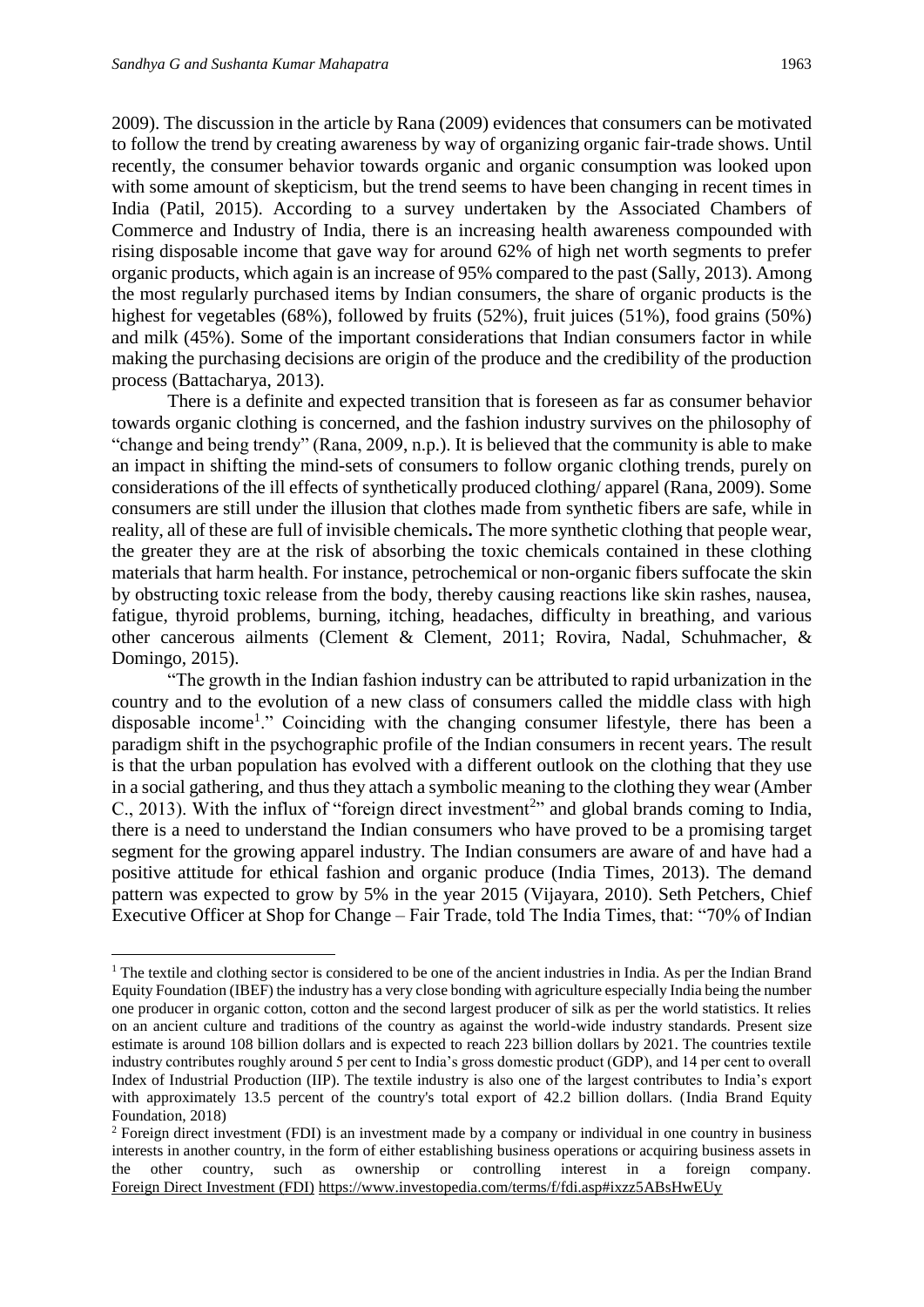**.** 

2009). The discussion in the article by Rana (2009) evidences that consumers can be motivated to follow the trend by creating awareness by way of organizing organic fair-trade shows. Until recently, the consumer behavior towards organic and organic consumption was looked upon with some amount of skepticism, but the trend seems to have been changing in recent times in India (Patil, 2015). According to a survey undertaken by the Associated Chambers of Commerce and Industry of India, there is an increasing health awareness compounded with rising disposable income that gave way for around 62% of high net worth segments to prefer organic products, which again is an increase of 95% compared to the past (Sally, 2013). Among the most regularly purchased items by Indian consumers, the share of organic products is the highest for vegetables (68%), followed by fruits (52%), fruit juices (51%), food grains (50%) and milk (45%). Some of the important considerations that Indian consumers factor in while making the purchasing decisions are origin of the produce and the credibility of the production process (Battacharya, 2013).

There is a definite and expected transition that is foreseen as far as consumer behavior towards organic clothing is concerned, and the fashion industry survives on the philosophy of "change and being trendy" (Rana, 2009, n.p.). It is believed that the community is able to make an impact in shifting the mind-sets of consumers to follow organic clothing trends, purely on considerations of the ill effects of synthetically produced clothing/ apparel (Rana, 2009). Some consumers are still under the illusion that clothes made from synthetic fibers are safe, while in reality, all of these are full of invisible chemicals**.** The more synthetic clothing that people wear, the greater they are at the risk of absorbing the toxic chemicals contained in these clothing materials that harm health. For instance, petrochemical or non-organic fibers suffocate the skin by obstructing toxic release from the body, thereby causing reactions like skin rashes, nausea, fatigue, thyroid problems, burning, itching, headaches, difficulty in breathing, and various other cancerous ailments (Clement & Clement, 2011; Rovira, Nadal, Schuhmacher, & Domingo, 2015).

"The growth in the Indian fashion industry can be attributed to rapid urbanization in the country and to the evolution of a new class of consumers called the middle class with high disposable income<sup>1</sup>." Coinciding with the changing consumer lifestyle, there has been a paradigm shift in the psychographic profile of the Indian consumers in recent years. The result is that the urban population has evolved with a different outlook on the clothing that they use in a social gathering, and thus they attach a symbolic meaning to the clothing they wear (Amber C., 2013). With the influx of "foreign direct investment<sup>2</sup>" and global brands coming to India, there is a need to understand the Indian consumers who have proved to be a promising target segment for the growing apparel industry. The Indian consumers are aware of and have had a positive attitude for ethical fashion and organic produce (India Times, 2013). The demand pattern was expected to grow by 5% in the year 2015 (Vijayara, 2010). Seth Petchers, Chief Executive Officer at Shop for Change – Fair Trade, told The India Times, that: "70% of Indian

<sup>&</sup>lt;sup>1</sup> The textile and clothing sector is considered to be one of the ancient industries in India. As per the Indian Brand Equity Foundation (IBEF) the industry has a very close bonding with agriculture especially India being the number one producer in organic cotton, cotton and the second largest producer of silk as per the world statistics. It relies on an ancient culture and traditions of the country as against the world-wide industry standards. Present size estimate is around 108 billion dollars and is expected to reach 223 billion dollars by 2021. The countries textile industry contributes roughly around 5 per cent to India's gross domestic product (GDP), and 14 per cent to overall Index of Industrial Production (IIP). The textile industry is also one of the largest contributes to India's export with approximately 13.5 percent of the country's total export of 42.2 billion dollars. (India Brand Equity Foundation, 2018)

<sup>&</sup>lt;sup>2</sup> Foreign direct investment (FDI) is an investment made by a company or individual in one country in business interests in another country, in the form of either establishing business operations or acquiring business assets in the other country, such as ownership or controlling interest in a foreign company. [Foreign Direct Investment \(FDI\)](https://www.investopedia.com/terms/f/fdi.asp#ixzz5ABsHwEUy) <https://www.investopedia.com/terms/f/fdi.asp#ixzz5ABsHwEUy>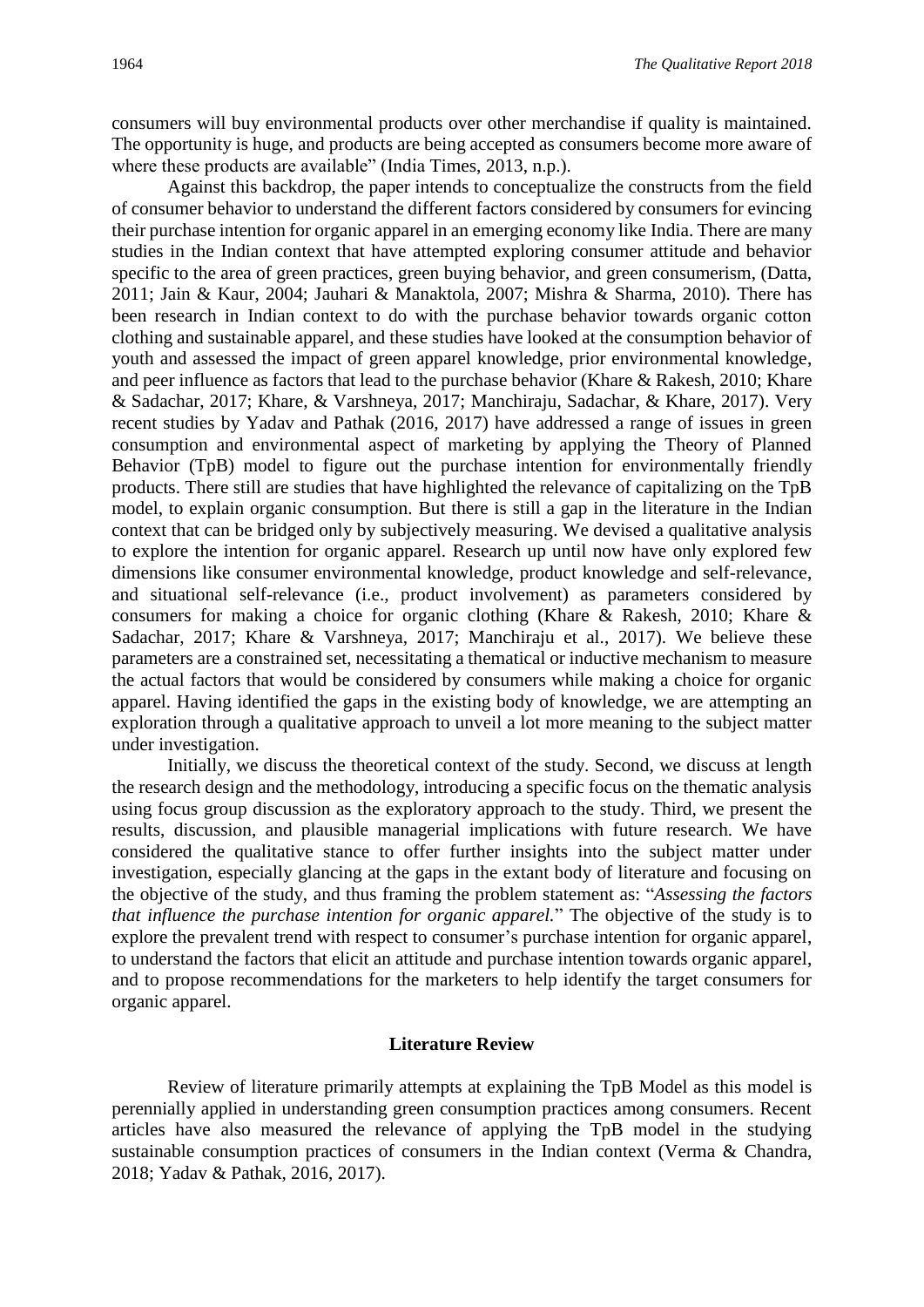consumers will buy environmental products over other merchandise if quality is maintained. The opportunity is huge, and products are being accepted as consumers become more aware of where these products are available" (India Times, 2013, n.p.).

Against this backdrop, the paper intends to conceptualize the constructs from the field of consumer behavior to understand the different factors considered by consumers for evincing their purchase intention for organic apparel in an emerging economy like India. There are many studies in the Indian context that have attempted exploring consumer attitude and behavior specific to the area of green practices, green buying behavior, and green consumerism, (Datta, 2011; Jain & Kaur, 2004; Jauhari & Manaktola, 2007; Mishra & Sharma, 2010). There has been research in Indian context to do with the purchase behavior towards organic cotton clothing and sustainable apparel, and these studies have looked at the consumption behavior of youth and assessed the impact of green apparel knowledge, prior environmental knowledge, and peer influence as factors that lead to the purchase behavior (Khare & Rakesh, 2010; Khare & Sadachar, 2017; Khare, & Varshneya, 2017; Manchiraju, Sadachar, & Khare, 2017). Very recent studies by Yadav and Pathak (2016, 2017) have addressed a range of issues in green consumption and environmental aspect of marketing by applying the Theory of Planned Behavior (TpB) model to figure out the purchase intention for environmentally friendly products. There still are studies that have highlighted the relevance of capitalizing on the TpB model, to explain organic consumption. But there is still a gap in the literature in the Indian context that can be bridged only by subjectively measuring. We devised a qualitative analysis to explore the intention for organic apparel. Research up until now have only explored few dimensions like consumer environmental knowledge, product knowledge and self-relevance, and situational self-relevance (i.e., product involvement) as parameters considered by consumers for making a choice for organic clothing (Khare & Rakesh, 2010; Khare & Sadachar, 2017; Khare & Varshneya, 2017; Manchiraju et al., 2017). We believe these parameters are a constrained set, necessitating a thematical or inductive mechanism to measure the actual factors that would be considered by consumers while making a choice for organic apparel. Having identified the gaps in the existing body of knowledge, we are attempting an exploration through a qualitative approach to unveil a lot more meaning to the subject matter under investigation.

Initially, we discuss the theoretical context of the study. Second, we discuss at length the research design and the methodology, introducing a specific focus on the thematic analysis using focus group discussion as the exploratory approach to the study. Third, we present the results, discussion, and plausible managerial implications with future research. We have considered the qualitative stance to offer further insights into the subject matter under investigation, especially glancing at the gaps in the extant body of literature and focusing on the objective of the study, and thus framing the problem statement as: "*Assessing the factors that influence the purchase intention for organic apparel.*" The objective of the study is to explore the prevalent trend with respect to consumer's purchase intention for organic apparel, to understand the factors that elicit an attitude and purchase intention towards organic apparel, and to propose recommendations for the marketers to help identify the target consumers for organic apparel.

#### **Literature Review**

Review of literature primarily attempts at explaining the TpB Model as this model is perennially applied in understanding green consumption practices among consumers. Recent articles have also measured the relevance of applying the TpB model in the studying sustainable consumption practices of consumers in the Indian context (Verma & Chandra, 2018; Yadav & Pathak, 2016, 2017).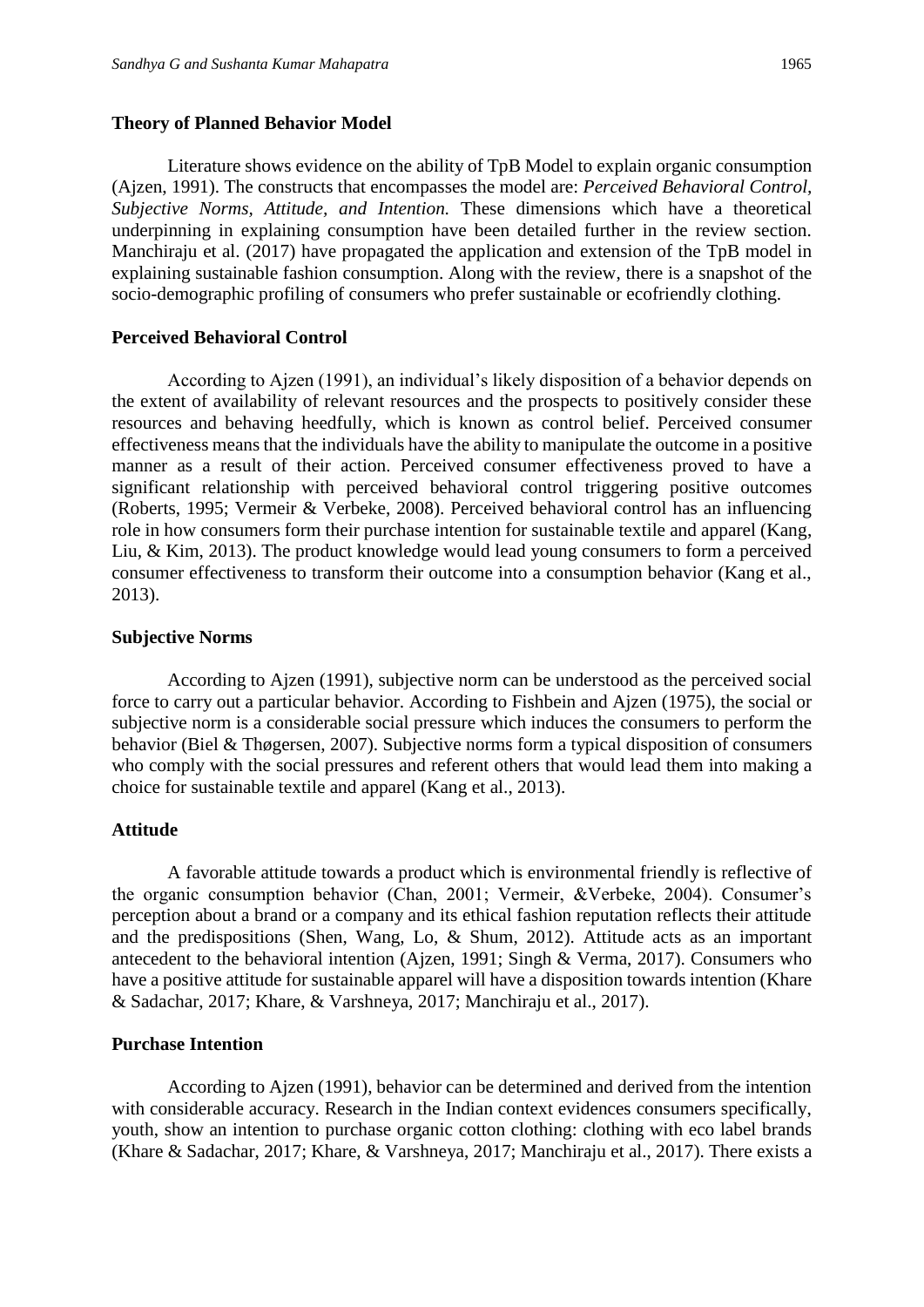#### **Theory of Planned Behavior Model**

Literature shows evidence on the ability of TpB Model to explain organic consumption (Ajzen, 1991). The constructs that encompasses the model are: *Perceived Behavioral Control, Subjective Norms, Attitude, and Intention.* These dimensions which have a theoretical underpinning in explaining consumption have been detailed further in the review section. Manchiraju et al. (2017) have propagated the application and extension of the TpB model in explaining sustainable fashion consumption. Along with the review, there is a snapshot of the socio-demographic profiling of consumers who prefer sustainable or ecofriendly clothing.

#### **Perceived Behavioral Control**

According to Ajzen (1991), an individual's likely disposition of a behavior depends on the extent of availability of relevant resources and the prospects to positively consider these resources and behaving heedfully, which is known as control belief. Perceived consumer effectiveness means that the individuals have the ability to manipulate the outcome in a positive manner as a result of their action. Perceived consumer effectiveness proved to have a significant relationship with perceived behavioral control triggering positive outcomes (Roberts, 1995; Vermeir & Verbeke, 2008). Perceived behavioral control has an influencing role in how consumers form their purchase intention for sustainable textile and apparel (Kang, Liu, & Kim, 2013). The product knowledge would lead young consumers to form a perceived consumer effectiveness to transform their outcome into a consumption behavior (Kang et al., 2013).

#### **Subjective Norms**

According to Ajzen (1991), subjective norm can be understood as the perceived social force to carry out a particular behavior. According to Fishbein and Ajzen (1975), the social or subjective norm is a considerable social pressure which induces the consumers to perform the behavior (Biel & Thøgersen, 2007). Subjective norms form a typical disposition of consumers who comply with the social pressures and referent others that would lead them into making a choice for sustainable textile and apparel (Kang et al., 2013).

#### **Attitude**

A favorable attitude towards a product which is environmental friendly is reflective of the organic consumption behavior (Chan, 2001; Vermeir, &Verbeke, 2004). Consumer's perception about a brand or a company and its ethical fashion reputation reflects their attitude and the predispositions (Shen, Wang, Lo, & Shum, 2012). Attitude acts as an important antecedent to the behavioral intention (Ajzen, 1991; Singh & Verma, 2017). Consumers who have a positive attitude for sustainable apparel will have a disposition towards intention (Khare & Sadachar, 2017; Khare, & Varshneya, 2017; Manchiraju et al., 2017).

#### **Purchase Intention**

According to Ajzen (1991), behavior can be determined and derived from the intention with considerable accuracy. Research in the Indian context evidences consumers specifically, youth, show an intention to purchase organic cotton clothing: clothing with eco label brands (Khare & Sadachar, 2017; Khare, & Varshneya, 2017; Manchiraju et al., 2017). There exists a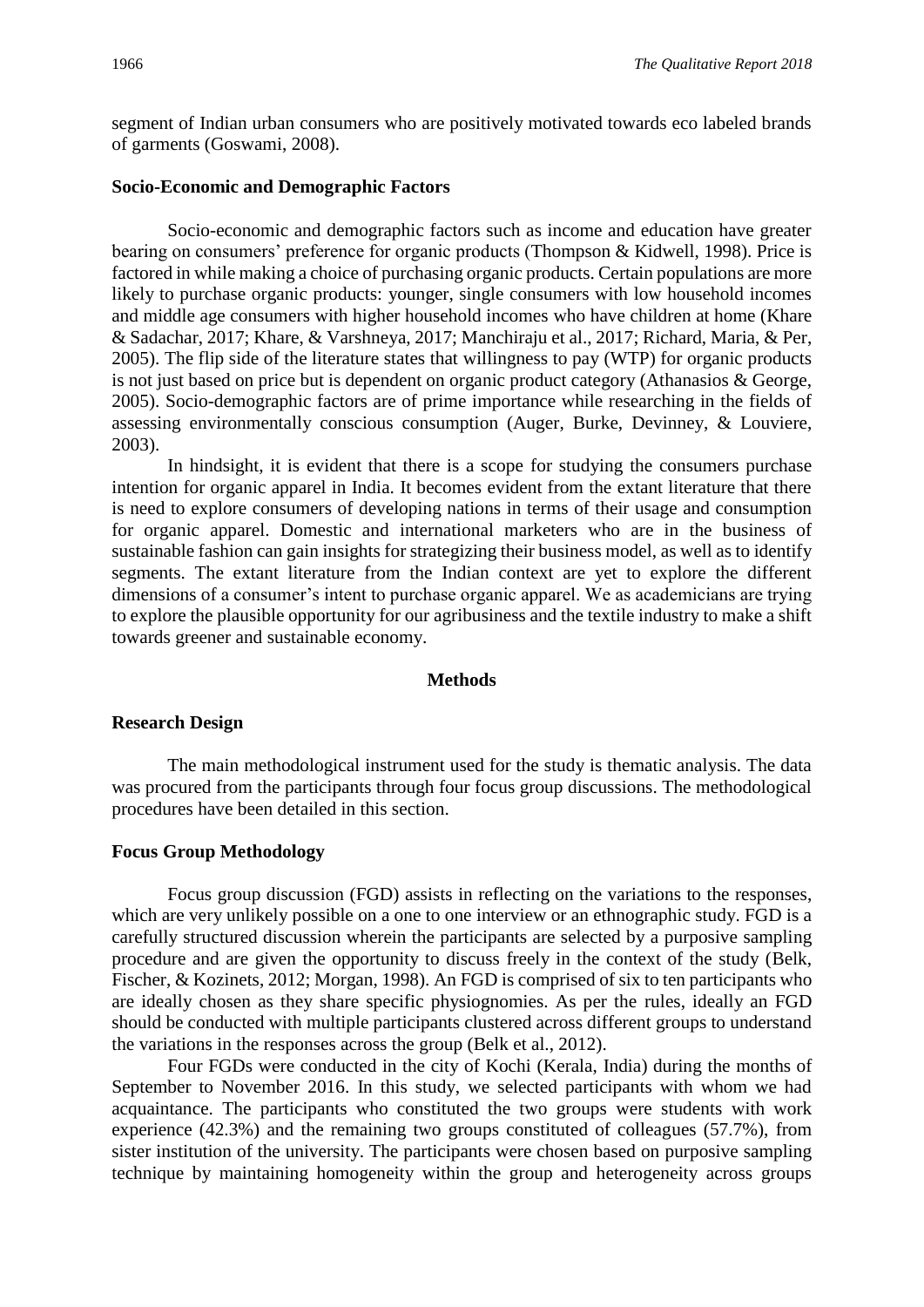segment of Indian urban consumers who are positively motivated towards eco labeled brands of garments (Goswami, 2008).

#### **Socio-Economic and Demographic Factors**

Socio-economic and demographic factors such as income and education have greater bearing on consumers' preference for organic products (Thompson & Kidwell, 1998). Price is factored in while making a choice of purchasing organic products. Certain populations are more likely to purchase organic products: younger, single consumers with low household incomes and middle age consumers with higher household incomes who have children at home (Khare & Sadachar, 2017; Khare, & Varshneya, 2017; Manchiraju et al., 2017; Richard, Maria, & Per, 2005). The flip side of the literature states that willingness to pay (WTP) for organic products is not just based on price but is dependent on organic product category (Athanasios & George, 2005). Socio-demographic factors are of prime importance while researching in the fields of assessing environmentally conscious consumption (Auger, Burke, Devinney, & Louviere, 2003).

In hindsight, it is evident that there is a scope for studying the consumers purchase intention for organic apparel in India. It becomes evident from the extant literature that there is need to explore consumers of developing nations in terms of their usage and consumption for organic apparel. Domestic and international marketers who are in the business of sustainable fashion can gain insights for strategizing their business model, as well as to identify segments. The extant literature from the Indian context are yet to explore the different dimensions of a consumer's intent to purchase organic apparel. We as academicians are trying to explore the plausible opportunity for our agribusiness and the textile industry to make a shift towards greener and sustainable economy.

#### **Methods**

#### **Research Design**

The main methodological instrument used for the study is thematic analysis. The data was procured from the participants through four focus group discussions. The methodological procedures have been detailed in this section.

#### **Focus Group Methodology**

Focus group discussion (FGD) assists in reflecting on the variations to the responses, which are very unlikely possible on a one to one interview or an ethnographic study. FGD is a carefully structured discussion wherein the participants are selected by a purposive sampling procedure and are given the opportunity to discuss freely in the context of the study (Belk, Fischer, & Kozinets, 2012; Morgan, 1998). An FGD is comprised of six to ten participants who are ideally chosen as they share specific physiognomies. As per the rules, ideally an FGD should be conducted with multiple participants clustered across different groups to understand the variations in the responses across the group (Belk et al., 2012).

Four FGDs were conducted in the city of Kochi (Kerala, India) during the months of September to November 2016. In this study, we selected participants with whom we had acquaintance. The participants who constituted the two groups were students with work experience (42.3%) and the remaining two groups constituted of colleagues (57.7%), from sister institution of the university. The participants were chosen based on purposive sampling technique by maintaining homogeneity within the group and heterogeneity across groups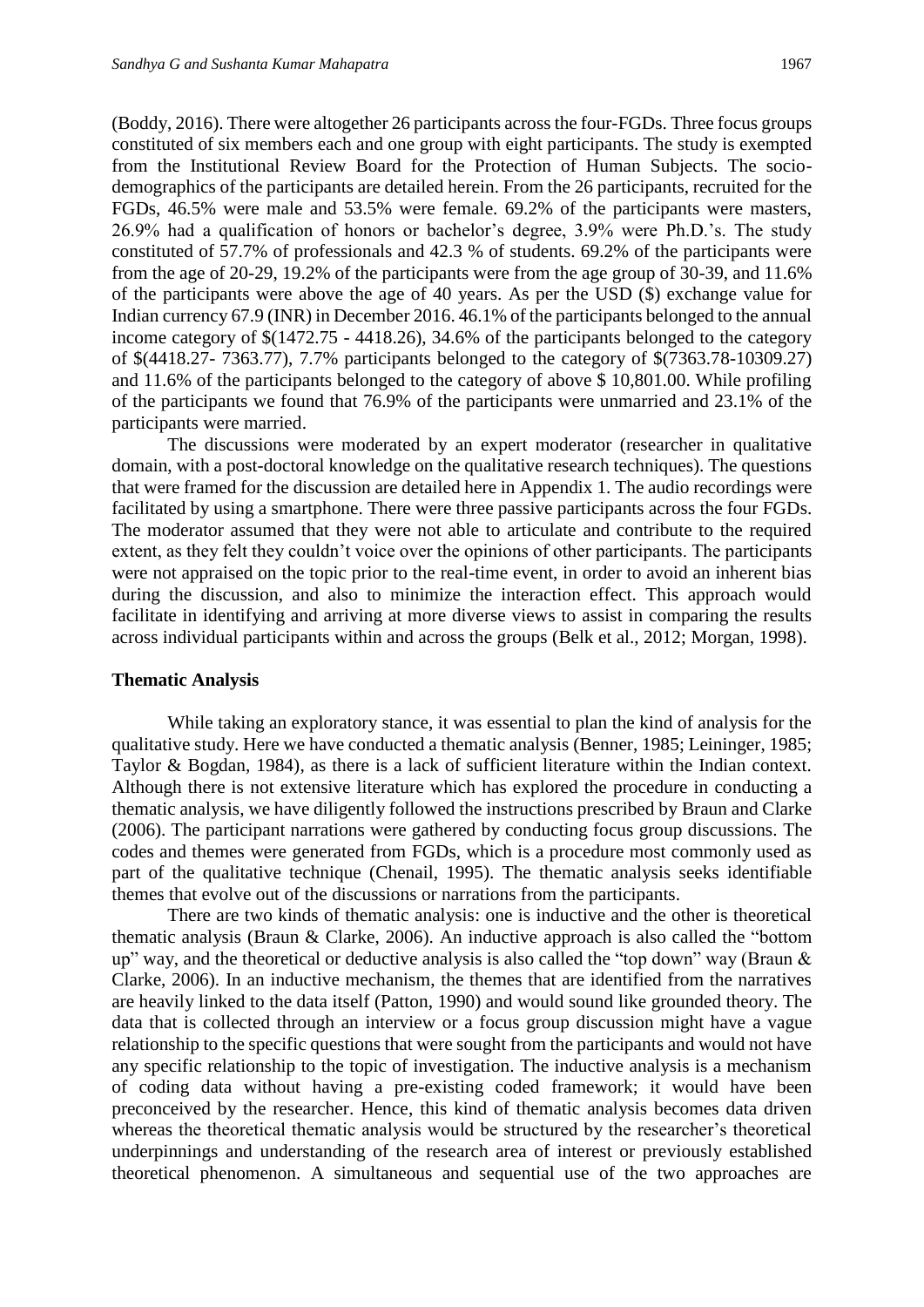(Boddy, 2016). There were altogether 26 participants across the four-FGDs. Three focus groups constituted of six members each and one group with eight participants. The study is exempted from the Institutional Review Board for the Protection of Human Subjects. The sociodemographics of the participants are detailed herein. From the 26 participants, recruited for the FGDs, 46.5% were male and 53.5% were female. 69.2% of the participants were masters, 26.9% had a qualification of honors or bachelor's degree, 3.9% were Ph.D.'s. The study constituted of 57.7% of professionals and 42.3 % of students. 69.2% of the participants were from the age of 20-29, 19.2% of the participants were from the age group of 30-39, and 11.6% of the participants were above the age of 40 years. As per the USD (\$) exchange value for Indian currency 67.9 (INR) in December 2016. 46.1% of the participants belonged to the annual income category of \$(1472.75 - 4418.26), 34.6% of the participants belonged to the category of \$(4418.27- 7363.77), 7.7% participants belonged to the category of \$(7363.78-10309.27) and 11.6% of the participants belonged to the category of above \$ 10,801.00. While profiling of the participants we found that 76.9% of the participants were unmarried and 23.1% of the participants were married.

The discussions were moderated by an expert moderator (researcher in qualitative domain, with a post-doctoral knowledge on the qualitative research techniques). The questions that were framed for the discussion are detailed here in Appendix 1. The audio recordings were facilitated by using a smartphone. There were three passive participants across the four FGDs. The moderator assumed that they were not able to articulate and contribute to the required extent, as they felt they couldn't voice over the opinions of other participants. The participants were not appraised on the topic prior to the real-time event, in order to avoid an inherent bias during the discussion, and also to minimize the interaction effect. This approach would facilitate in identifying and arriving at more diverse views to assist in comparing the results across individual participants within and across the groups (Belk et al., 2012; Morgan, 1998).

#### **Thematic Analysis**

While taking an exploratory stance, it was essential to plan the kind of analysis for the qualitative study. Here we have conducted a thematic analysis (Benner, 1985; Leininger, 1985; Taylor & Bogdan, 1984), as there is a lack of sufficient literature within the Indian context. Although there is not extensive literature which has explored the procedure in conducting a thematic analysis, we have diligently followed the instructions prescribed by Braun and Clarke (2006). The participant narrations were gathered by conducting focus group discussions. The codes and themes were generated from FGDs, which is a procedure most commonly used as part of the qualitative technique (Chenail, 1995). The thematic analysis seeks identifiable themes that evolve out of the discussions or narrations from the participants.

There are two kinds of thematic analysis: one is inductive and the other is theoretical thematic analysis (Braun & Clarke, 2006). An inductive approach is also called the "bottom up" way, and the theoretical or deductive analysis is also called the "top down" way (Braun & Clarke, 2006). In an inductive mechanism, the themes that are identified from the narratives are heavily linked to the data itself (Patton, 1990) and would sound like grounded theory. The data that is collected through an interview or a focus group discussion might have a vague relationship to the specific questions that were sought from the participants and would not have any specific relationship to the topic of investigation. The inductive analysis is a mechanism of coding data without having a pre-existing coded framework; it would have been preconceived by the researcher. Hence, this kind of thematic analysis becomes data driven whereas the theoretical thematic analysis would be structured by the researcher's theoretical underpinnings and understanding of the research area of interest or previously established theoretical phenomenon. A simultaneous and sequential use of the two approaches are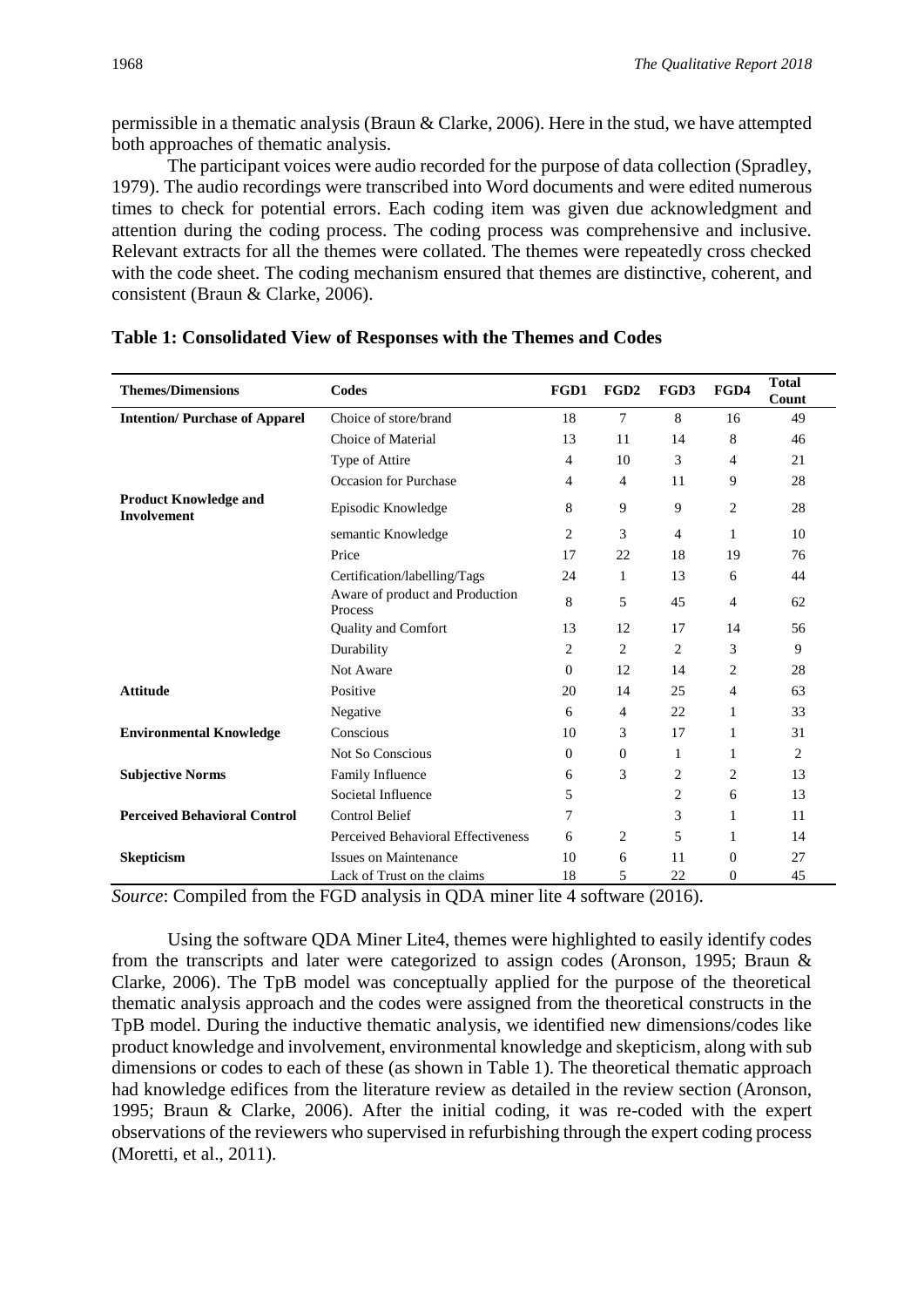permissible in a thematic analysis (Braun & Clarke, 2006). Here in the stud, we have attempted both approaches of thematic analysis.

The participant voices were audio recorded for the purpose of data collection (Spradley, 1979). The audio recordings were transcribed into Word documents and were edited numerous times to check for potential errors. Each coding item was given due acknowledgment and attention during the coding process. The coding process was comprehensive and inclusive. Relevant extracts for all the themes were collated. The themes were repeatedly cross checked with the code sheet. The coding mechanism ensured that themes are distinctive, coherent, and consistent (Braun & Clarke, 2006).

| <b>Themes/Dimensions</b>                           | <b>Codes</b>                               | FGD1           | FGD <sub>2</sub> | FGD3           | FGD4           | <b>Total</b><br>Count |
|----------------------------------------------------|--------------------------------------------|----------------|------------------|----------------|----------------|-----------------------|
| <b>Intention/Purchase of Apparel</b>               | Choice of store/brand                      | 18             | 7                | 8              | 16             | 49                    |
|                                                    | Choice of Material                         | 13             | 11               | 14             | 8              | 46                    |
|                                                    | Type of Attire                             | 4              | 10               | 3              | 4              | 21                    |
|                                                    | Occasion for Purchase                      | 4              | 4                | 11             | 9              | 28                    |
| <b>Product Knowledge and</b><br><b>Involvement</b> | Episodic Knowledge                         | 8              | 9                | 9              | $\overline{c}$ | 28                    |
|                                                    | semantic Knowledge                         | 2              | 3                | 4              | 1              | 10                    |
|                                                    | Price                                      | 17             | 22               | 18             | 19             | 76                    |
|                                                    | Certification/labelling/Tags               | 24             | 1                | 13             | 6              | 44                    |
|                                                    | Aware of product and Production<br>Process | 8              | 5                | 45             | $\overline{4}$ | 62                    |
|                                                    | <b>Quality and Comfort</b>                 | 13             | 12               | 17             | 14             | 56                    |
|                                                    | Durability                                 | $\overline{c}$ | $\overline{c}$   | $\overline{2}$ | 3              | 9                     |
|                                                    | Not Aware                                  | $\Omega$       | 12               | 14             | 2              | 28                    |
| <b>Attitude</b>                                    | Positive                                   | 20             | 14               | 25             | $\overline{4}$ | 63                    |
|                                                    | Negative                                   | 6              | 4                | 22             | 1              | 33                    |
| <b>Environmental Knowledge</b>                     | Conscious                                  | 10             | 3                | 17             | 1              | 31                    |
|                                                    | <b>Not So Conscious</b>                    | $\Omega$       | $\theta$         | 1              | 1              | 2                     |
| <b>Subjective Norms</b>                            | Family Influence                           | 6              | 3                | $\overline{c}$ | 2              | 13                    |
|                                                    | Societal Influence                         | 5              |                  | $\overline{c}$ | 6              | 13                    |
| <b>Perceived Behavioral Control</b>                | <b>Control Belief</b>                      | 7              |                  | 3              | 1              | 11                    |
|                                                    | Perceived Behavioral Effectiveness         | 6              | $\overline{c}$   | 5              | 1              | 14                    |
| <b>Skepticism</b>                                  | <b>Issues on Maintenance</b>               | 10             | 6                | 11             | $\theta$       | 27                    |
| $\sim$ $\sim$<br>$\sim$                            | Lack of Trust on the claims                | 18             | 5                | 22             | $\Omega$       | 45                    |

#### **Table 1: Consolidated View of Responses with the Themes and Codes**

*Source*: Compiled from the FGD analysis in QDA miner lite 4 software (2016).

Using the software QDA Miner Lite4, themes were highlighted to easily identify codes from the transcripts and later were categorized to assign codes (Aronson, 1995; Braun & Clarke, 2006). The TpB model was conceptually applied for the purpose of the theoretical thematic analysis approach and the codes were assigned from the theoretical constructs in the TpB model. During the inductive thematic analysis, we identified new dimensions/codes like product knowledge and involvement, environmental knowledge and skepticism, along with sub dimensions or codes to each of these (as shown in Table 1). The theoretical thematic approach had knowledge edifices from the literature review as detailed in the review section (Aronson, 1995; Braun & Clarke, 2006). After the initial coding, it was re-coded with the expert observations of the reviewers who supervised in refurbishing through the expert coding process (Moretti, et al., 2011).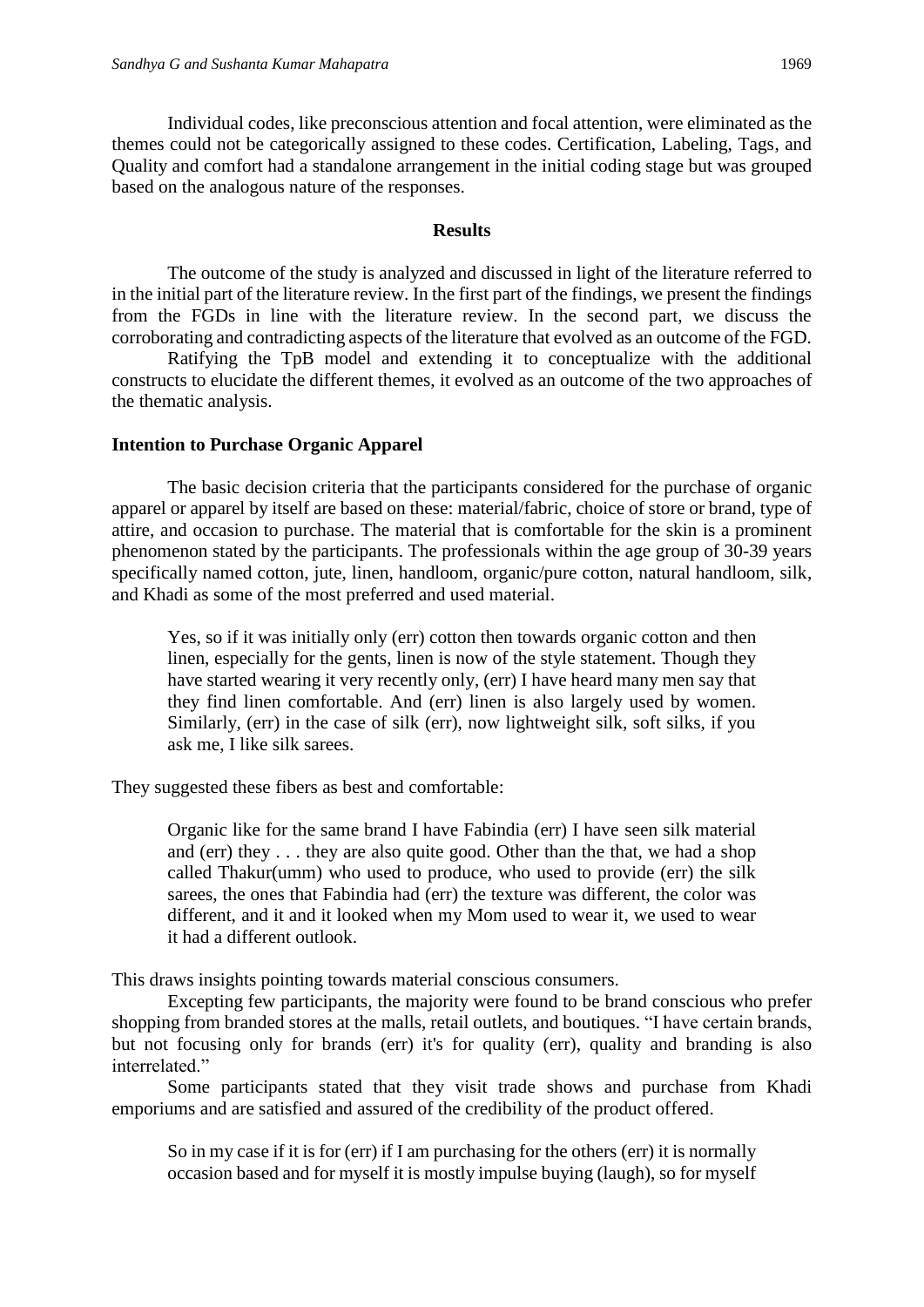Individual codes, like preconscious attention and focal attention, were eliminated as the themes could not be categorically assigned to these codes. Certification, Labeling, Tags, and Quality and comfort had a standalone arrangement in the initial coding stage but was grouped based on the analogous nature of the responses.

#### **Results**

The outcome of the study is analyzed and discussed in light of the literature referred to in the initial part of the literature review. In the first part of the findings, we present the findings from the FGDs in line with the literature review. In the second part, we discuss the corroborating and contradicting aspects of the literature that evolved as an outcome of the FGD.

Ratifying the TpB model and extending it to conceptualize with the additional constructs to elucidate the different themes, it evolved as an outcome of the two approaches of the thematic analysis.

#### **Intention to Purchase Organic Apparel**

The basic decision criteria that the participants considered for the purchase of organic apparel or apparel by itself are based on these: material/fabric, choice of store or brand, type of attire, and occasion to purchase. The material that is comfortable for the skin is a prominent phenomenon stated by the participants. The professionals within the age group of 30-39 years specifically named cotton, jute, linen, handloom, organic/pure cotton, natural handloom, silk, and Khadi as some of the most preferred and used material.

Yes, so if it was initially only (err) cotton then towards organic cotton and then linen, especially for the gents, linen is now of the style statement. Though they have started wearing it very recently only, (err) I have heard many men say that they find linen comfortable. And (err) linen is also largely used by women. Similarly, (err) in the case of silk (err), now lightweight silk, soft silks, if you ask me, I like silk sarees.

They suggested these fibers as best and comfortable:

Organic like for the same brand I have Fabindia (err) I have seen silk material and (err) they . . . they are also quite good. Other than the that, we had a shop called Thakur(umm) who used to produce, who used to provide (err) the silk sarees, the ones that Fabindia had (err) the texture was different, the color was different, and it and it looked when my Mom used to wear it, we used to wear it had a different outlook.

This draws insights pointing towards material conscious consumers.

Excepting few participants, the majority were found to be brand conscious who prefer shopping from branded stores at the malls, retail outlets, and boutiques. "I have certain brands, but not focusing only for brands (err) it's for quality (err), quality and branding is also interrelated."

Some participants stated that they visit trade shows and purchase from Khadi emporiums and are satisfied and assured of the credibility of the product offered.

So in my case if it is for (err) if I am purchasing for the others (err) it is normally occasion based and for myself it is mostly impulse buying (laugh), so for myself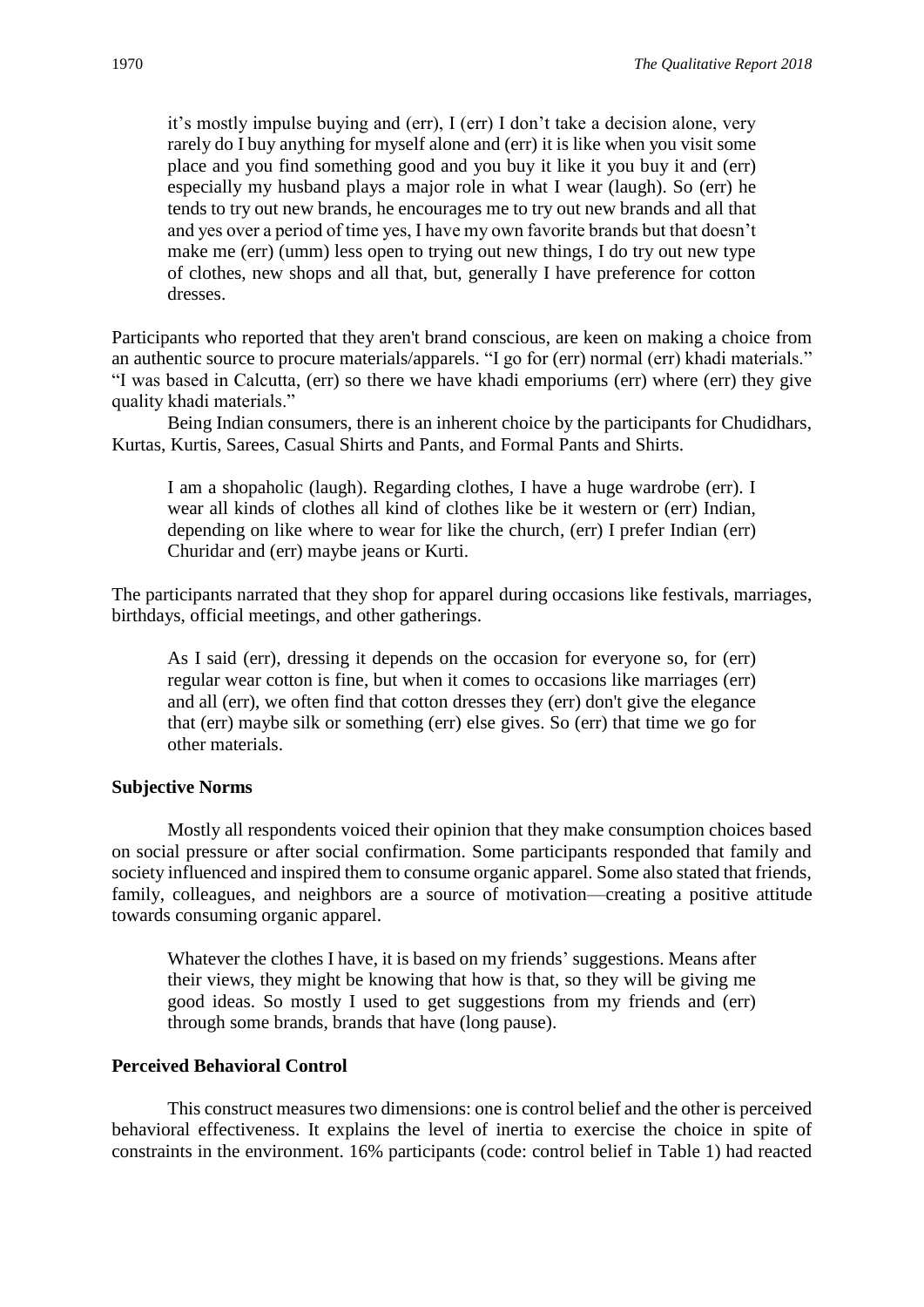it's mostly impulse buying and (err), I (err) I don't take a decision alone, very rarely do I buy anything for myself alone and (err) it is like when you visit some place and you find something good and you buy it like it you buy it and (err) especially my husband plays a major role in what I wear (laugh). So (err) he tends to try out new brands, he encourages me to try out new brands and all that and yes over a period of time yes, I have my own favorite brands but that doesn't make me (err) (umm) less open to trying out new things, I do try out new type of clothes, new shops and all that, but, generally I have preference for cotton dresses.

Participants who reported that they aren't brand conscious, are keen on making a choice from an authentic source to procure materials/apparels. "I go for (err) normal (err) khadi materials." "I was based in Calcutta, (err) so there we have khadi emporiums (err) where (err) they give quality khadi materials."

Being Indian consumers, there is an inherent choice by the participants for Chudidhars, Kurtas, Kurtis, Sarees, Casual Shirts and Pants, and Formal Pants and Shirts.

I am a shopaholic (laugh). Regarding clothes, I have a huge wardrobe (err). I wear all kinds of clothes all kind of clothes like be it western or (err) Indian, depending on like where to wear for like the church, (err) I prefer Indian (err) Churidar and (err) maybe jeans or Kurti.

The participants narrated that they shop for apparel during occasions like festivals, marriages, birthdays, official meetings, and other gatherings.

As I said (err), dressing it depends on the occasion for everyone so, for (err) regular wear cotton is fine, but when it comes to occasions like marriages (err) and all (err), we often find that cotton dresses they (err) don't give the elegance that (err) maybe silk or something (err) else gives. So (err) that time we go for other materials.

#### **Subjective Norms**

Mostly all respondents voiced their opinion that they make consumption choices based on social pressure or after social confirmation. Some participants responded that family and society influenced and inspired them to consume organic apparel. Some also stated that friends, family, colleagues, and neighbors are a source of motivation—creating a positive attitude towards consuming organic apparel.

Whatever the clothes I have, it is based on my friends' suggestions. Means after their views, they might be knowing that how is that, so they will be giving me good ideas. So mostly I used to get suggestions from my friends and (err) through some brands, brands that have (long pause).

#### **Perceived Behavioral Control**

This construct measures two dimensions: one is control belief and the other is perceived behavioral effectiveness. It explains the level of inertia to exercise the choice in spite of constraints in the environment. 16% participants (code: control belief in Table 1) had reacted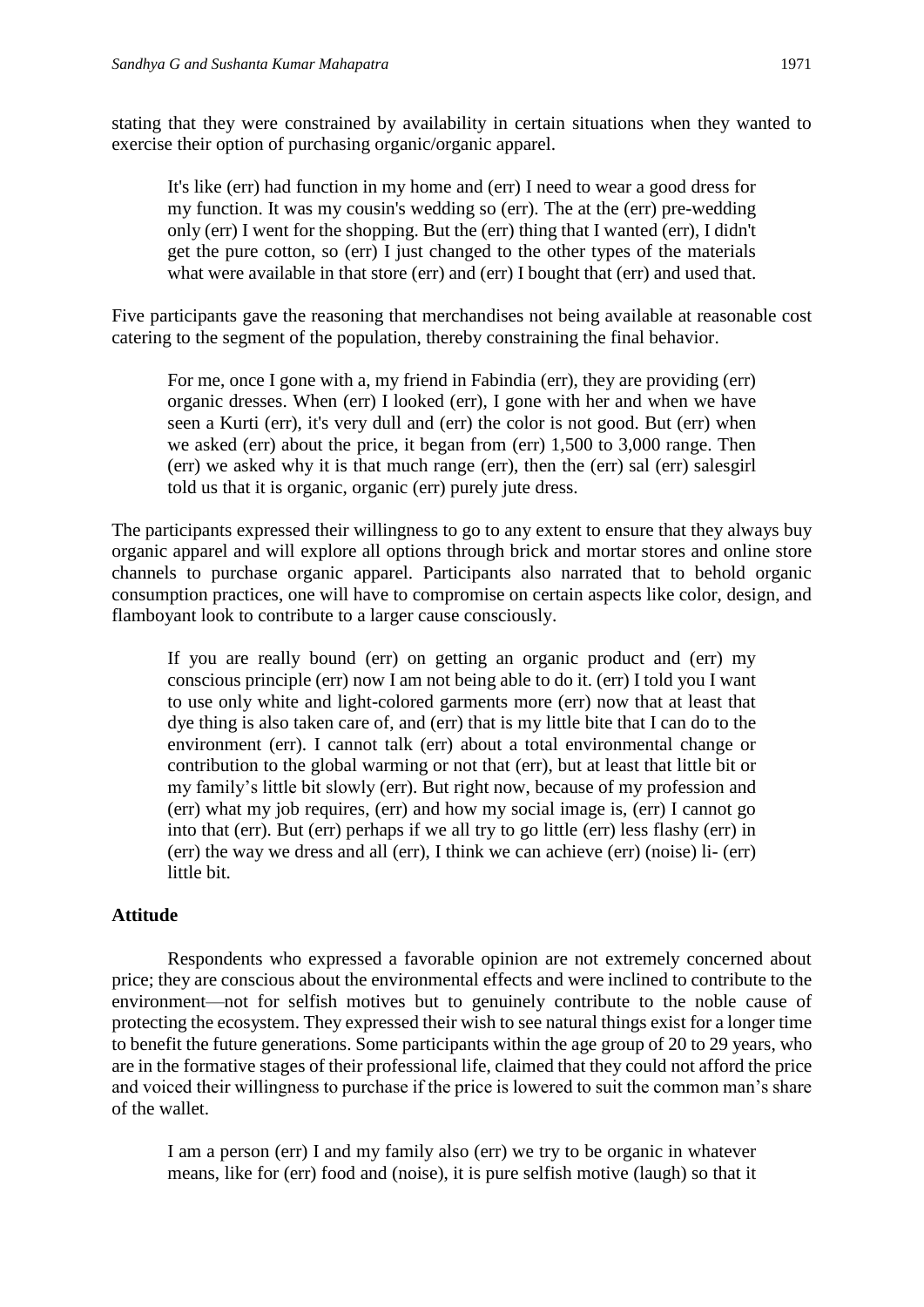stating that they were constrained by availability in certain situations when they wanted to exercise their option of purchasing organic/organic apparel.

It's like (err) had function in my home and (err) I need to wear a good dress for my function. It was my cousin's wedding so (err). The at the (err) pre-wedding only (err) I went for the shopping. But the (err) thing that I wanted (err), I didn't get the pure cotton, so (err) I just changed to the other types of the materials what were available in that store (err) and (err) I bought that (err) and used that.

Five participants gave the reasoning that merchandises not being available at reasonable cost catering to the segment of the population, thereby constraining the final behavior.

For me, once I gone with a, my friend in Fabindia (err), they are providing (err) organic dresses. When (err) I looked (err), I gone with her and when we have seen a Kurti (err), it's very dull and (err) the color is not good. But (err) when we asked (err) about the price, it began from (err) 1,500 to 3,000 range. Then (err) we asked why it is that much range (err), then the (err) sal (err) salesgirl told us that it is organic, organic (err) purely jute dress.

The participants expressed their willingness to go to any extent to ensure that they always buy organic apparel and will explore all options through brick and mortar stores and online store channels to purchase organic apparel. Participants also narrated that to behold organic consumption practices, one will have to compromise on certain aspects like color, design, and flamboyant look to contribute to a larger cause consciously.

If you are really bound (err) on getting an organic product and (err) my conscious principle (err) now I am not being able to do it. (err) I told you I want to use only white and light-colored garments more (err) now that at least that dye thing is also taken care of, and (err) that is my little bite that I can do to the environment (err). I cannot talk (err) about a total environmental change or contribution to the global warming or not that (err), but at least that little bit or my family's little bit slowly (err). But right now, because of my profession and (err) what my job requires, (err) and how my social image is, (err) I cannot go into that (err). But (err) perhaps if we all try to go little (err) less flashy (err) in (err) the way we dress and all (err), I think we can achieve (err) (noise) li- (err) little bit.

#### **Attitude**

Respondents who expressed a favorable opinion are not extremely concerned about price; they are conscious about the environmental effects and were inclined to contribute to the environment—not for selfish motives but to genuinely contribute to the noble cause of protecting the ecosystem. They expressed their wish to see natural things exist for a longer time to benefit the future generations. Some participants within the age group of 20 to 29 years, who are in the formative stages of their professional life, claimed that they could not afford the price and voiced their willingness to purchase if the price is lowered to suit the common man's share of the wallet.

I am a person (err) I and my family also (err) we try to be organic in whatever means, like for (err) food and (noise), it is pure selfish motive (laugh) so that it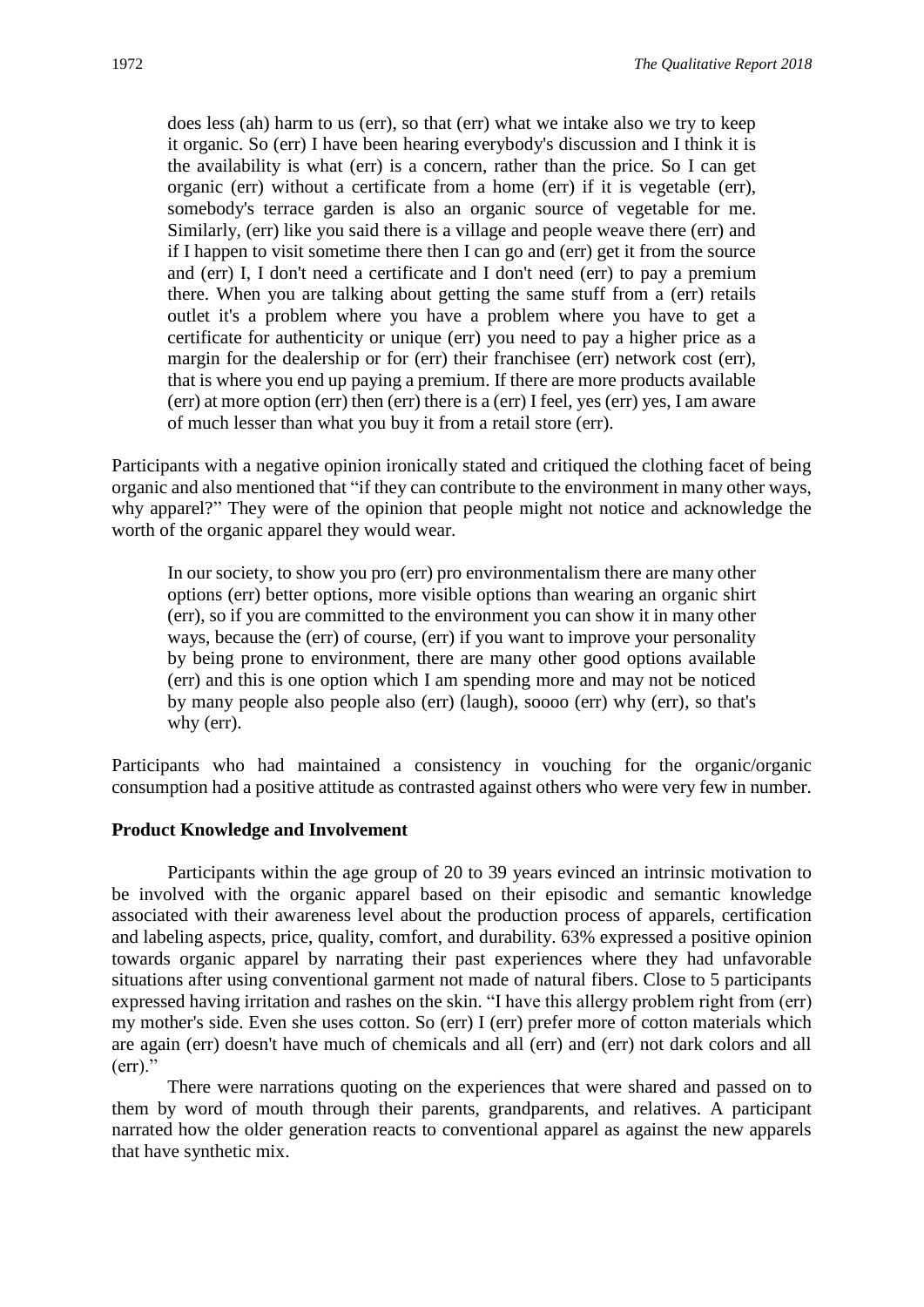does less (ah) harm to us (err), so that (err) what we intake also we try to keep it organic. So (err) I have been hearing everybody's discussion and I think it is the availability is what (err) is a concern, rather than the price. So I can get organic (err) without a certificate from a home (err) if it is vegetable (err), somebody's terrace garden is also an organic source of vegetable for me. Similarly, (err) like you said there is a village and people weave there (err) and if I happen to visit sometime there then I can go and (err) get it from the source and (err) I, I don't need a certificate and I don't need (err) to pay a premium there. When you are talking about getting the same stuff from a (err) retails outlet it's a problem where you have a problem where you have to get a certificate for authenticity or unique (err) you need to pay a higher price as a margin for the dealership or for (err) their franchisee (err) network cost (err), that is where you end up paying a premium. If there are more products available (err) at more option (err) then (err) there is a (err) I feel, yes (err) yes, I am aware of much lesser than what you buy it from a retail store (err).

Participants with a negative opinion ironically stated and critiqued the clothing facet of being organic and also mentioned that "if they can contribute to the environment in many other ways, why apparel?" They were of the opinion that people might not notice and acknowledge the worth of the organic apparel they would wear.

In our society, to show you pro (err) pro environmentalism there are many other options (err) better options, more visible options than wearing an organic shirt (err), so if you are committed to the environment you can show it in many other ways, because the (err) of course, (err) if you want to improve your personality by being prone to environment, there are many other good options available (err) and this is one option which I am spending more and may not be noticed by many people also people also (err) (laugh), soooo (err) why (err), so that's why (err).

Participants who had maintained a consistency in vouching for the organic/organic consumption had a positive attitude as contrasted against others who were very few in number.

#### **Product Knowledge and Involvement**

Participants within the age group of 20 to 39 years evinced an intrinsic motivation to be involved with the organic apparel based on their episodic and semantic knowledge associated with their awareness level about the production process of apparels, certification and labeling aspects, price, quality, comfort, and durability. 63% expressed a positive opinion towards organic apparel by narrating their past experiences where they had unfavorable situations after using conventional garment not made of natural fibers. Close to 5 participants expressed having irritation and rashes on the skin. "I have this allergy problem right from (err) my mother's side. Even she uses cotton. So (err) I (err) prefer more of cotton materials which are again (err) doesn't have much of chemicals and all (err) and (err) not dark colors and all  $(err)$ ."

There were narrations quoting on the experiences that were shared and passed on to them by word of mouth through their parents, grandparents, and relatives. A participant narrated how the older generation reacts to conventional apparel as against the new apparels that have synthetic mix.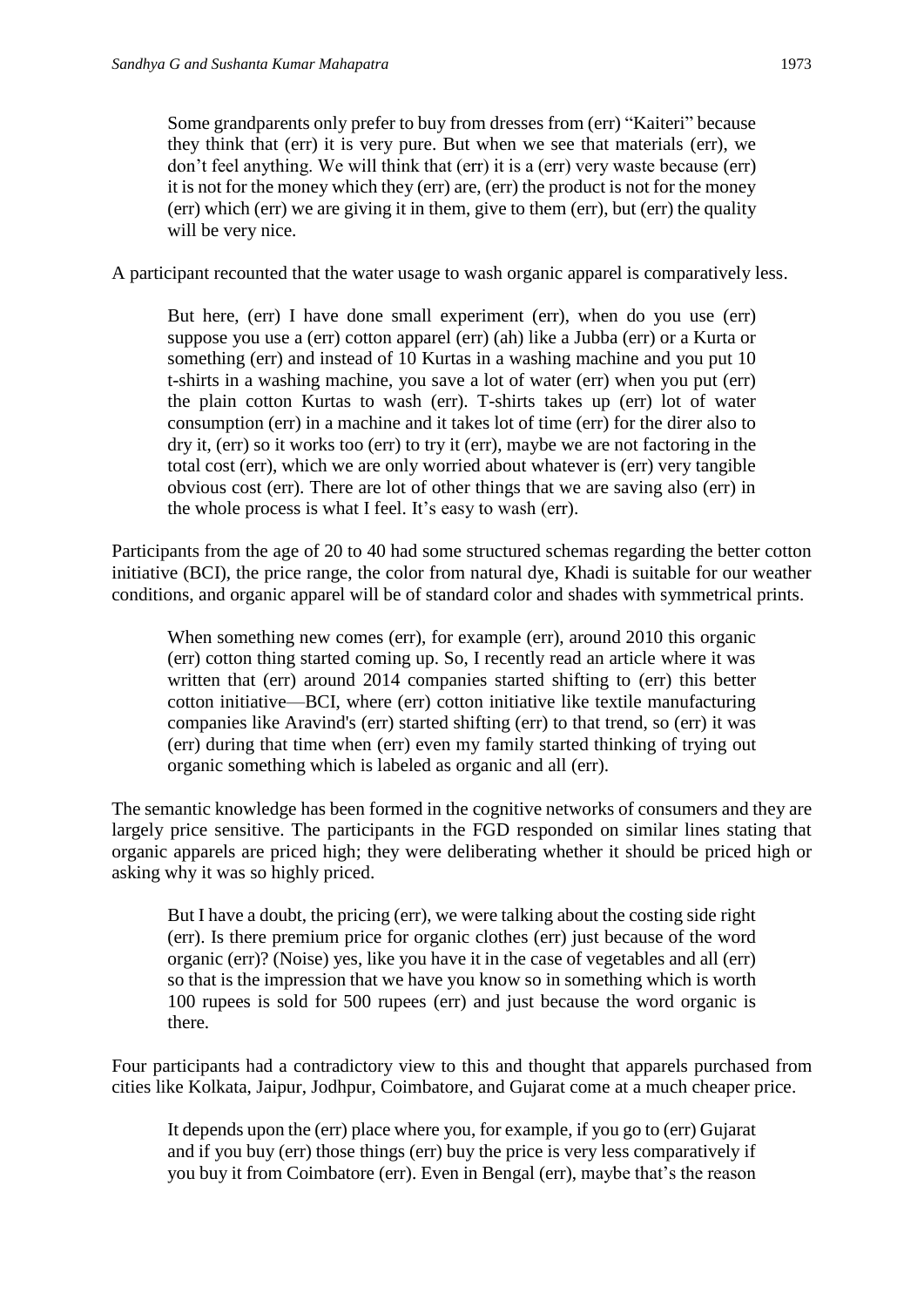Some grandparents only prefer to buy from dresses from (err) "Kaiteri" because they think that (err) it is very pure. But when we see that materials (err), we don't feel anything. We will think that (err) it is a (err) very waste because (err) it is not for the money which they (err) are, (err) the product is not for the money (err) which (err) we are giving it in them, give to them (err), but (err) the quality will be very nice.

A participant recounted that the water usage to wash organic apparel is comparatively less.

But here, (err) I have done small experiment (err), when do you use (err) suppose you use a (err) cotton apparel (err) (ah) like a Jubba (err) or a Kurta or something (err) and instead of 10 Kurtas in a washing machine and you put 10 t-shirts in a washing machine, you save a lot of water (err) when you put (err) the plain cotton Kurtas to wash (err). T-shirts takes up (err) lot of water consumption (err) in a machine and it takes lot of time (err) for the direr also to dry it, (err) so it works too (err) to try it (err), maybe we are not factoring in the total cost (err), which we are only worried about whatever is (err) very tangible obvious cost (err). There are lot of other things that we are saving also (err) in the whole process is what I feel. It's easy to wash (err).

Participants from the age of 20 to 40 had some structured schemas regarding the better cotton initiative (BCI), the price range, the color from natural dye, Khadi is suitable for our weather conditions, and organic apparel will be of standard color and shades with symmetrical prints.

When something new comes (err), for example (err), around 2010 this organic (err) cotton thing started coming up. So, I recently read an article where it was written that (err) around 2014 companies started shifting to (err) this better cotton initiative—BCI, where (err) cotton initiative like textile manufacturing companies like Aravind's (err) started shifting (err) to that trend, so (err) it was (err) during that time when (err) even my family started thinking of trying out organic something which is labeled as organic and all (err).

The semantic knowledge has been formed in the cognitive networks of consumers and they are largely price sensitive. The participants in the FGD responded on similar lines stating that organic apparels are priced high; they were deliberating whether it should be priced high or asking why it was so highly priced.

But I have a doubt, the pricing (err), we were talking about the costing side right (err). Is there premium price for organic clothes (err) just because of the word organic (err)? (Noise) yes, like you have it in the case of vegetables and all (err) so that is the impression that we have you know so in something which is worth 100 rupees is sold for 500 rupees (err) and just because the word organic is there.

Four participants had a contradictory view to this and thought that apparels purchased from cities like Kolkata, Jaipur, Jodhpur, Coimbatore, and Gujarat come at a much cheaper price.

It depends upon the (err) place where you, for example, if you go to (err) Gujarat and if you buy (err) those things (err) buy the price is very less comparatively if you buy it from Coimbatore (err). Even in Bengal (err), maybe that's the reason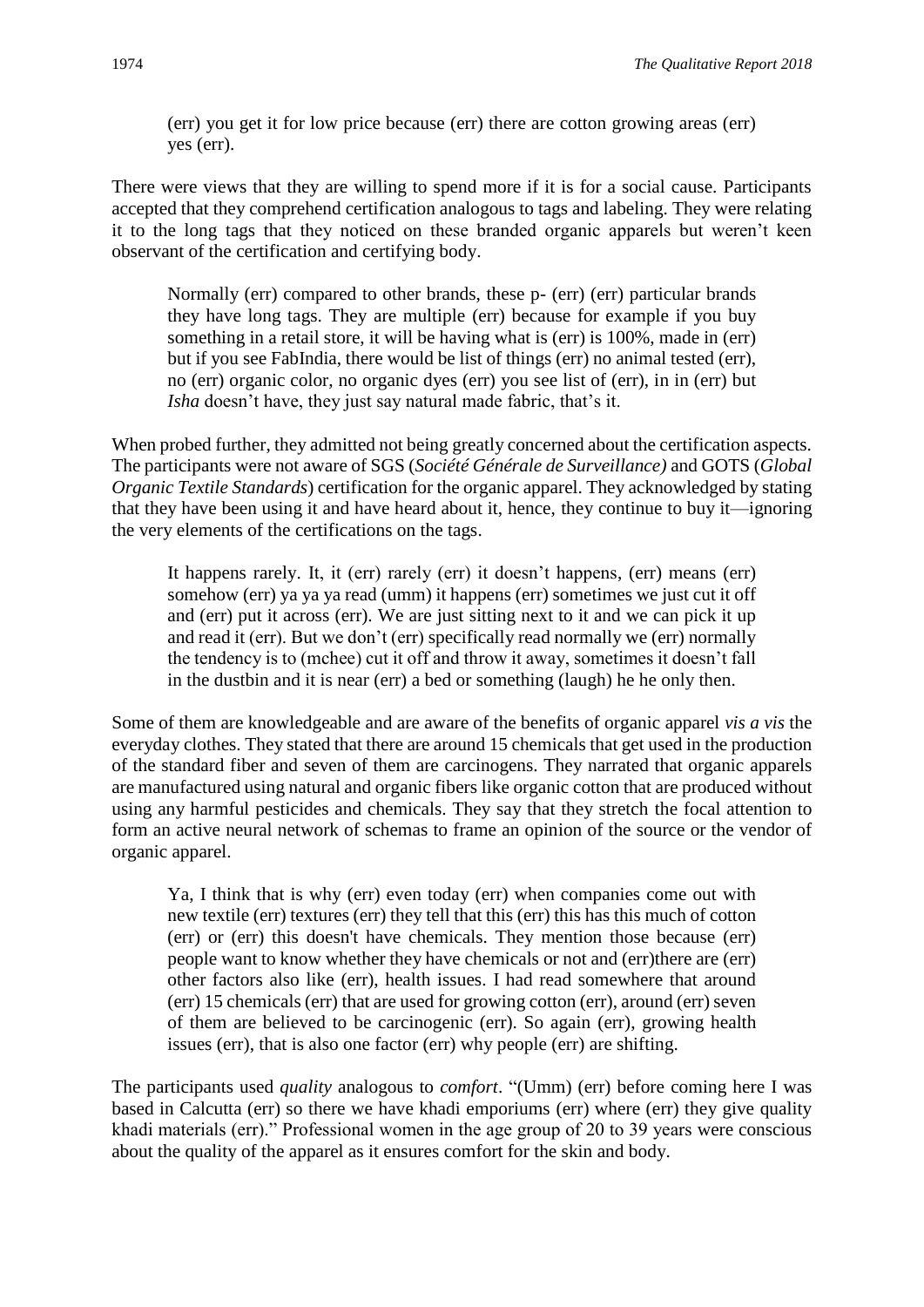(err) you get it for low price because (err) there are cotton growing areas (err) yes (err).

There were views that they are willing to spend more if it is for a social cause. Participants accepted that they comprehend certification analogous to tags and labeling. They were relating it to the long tags that they noticed on these branded organic apparels but weren't keen observant of the certification and certifying body.

Normally (err) compared to other brands, these p- (err) (err) particular brands they have long tags. They are multiple (err) because for example if you buy something in a retail store, it will be having what is (err) is 100%, made in (err) but if you see FabIndia, there would be list of things (err) no animal tested (err), no (err) organic color, no organic dyes (err) you see list of (err), in in (err) but *Isha* doesn't have, they just say natural made fabric, that's it.

When probed further, they admitted not being greatly concerned about the certification aspects. The participants were not aware of SGS (*Société Générale de Surveillance)* and GOTS (*Global Organic Textile Standards*) certification for the organic apparel. They acknowledged by stating that they have been using it and have heard about it, hence, they continue to buy it—ignoring the very elements of the certifications on the tags.

It happens rarely. It, it (err) rarely (err) it doesn't happens, (err) means (err) somehow (err) ya ya ya read (umm) it happens (err) sometimes we just cut it off and (err) put it across (err). We are just sitting next to it and we can pick it up and read it (err). But we don't (err) specifically read normally we (err) normally the tendency is to (mchee) cut it off and throw it away, sometimes it doesn't fall in the dustbin and it is near (err) a bed or something (laugh) he he only then.

Some of them are knowledgeable and are aware of the benefits of organic apparel *vis a vis* the everyday clothes. They stated that there are around 15 chemicals that get used in the production of the standard fiber and seven of them are carcinogens. They narrated that organic apparels are manufactured using natural and organic fibers like organic cotton that are produced without using any harmful pesticides and chemicals. They say that they stretch the focal attention to form an active neural network of schemas to frame an opinion of the source or the vendor of organic apparel.

Ya, I think that is why (err) even today (err) when companies come out with new textile (err) textures (err) they tell that this (err) this has this much of cotton (err) or (err) this doesn't have chemicals. They mention those because (err) people want to know whether they have chemicals or not and (err)there are (err) other factors also like (err), health issues. I had read somewhere that around (err) 15 chemicals (err) that are used for growing cotton (err), around (err) seven of them are believed to be carcinogenic (err). So again (err), growing health issues (err), that is also one factor (err) why people (err) are shifting.

The participants used *quality* analogous to *comfort*. "(Umm) (err) before coming here I was based in Calcutta (err) so there we have khadi emporiums (err) where (err) they give quality khadi materials (err)." Professional women in the age group of 20 to 39 years were conscious about the quality of the apparel as it ensures comfort for the skin and body.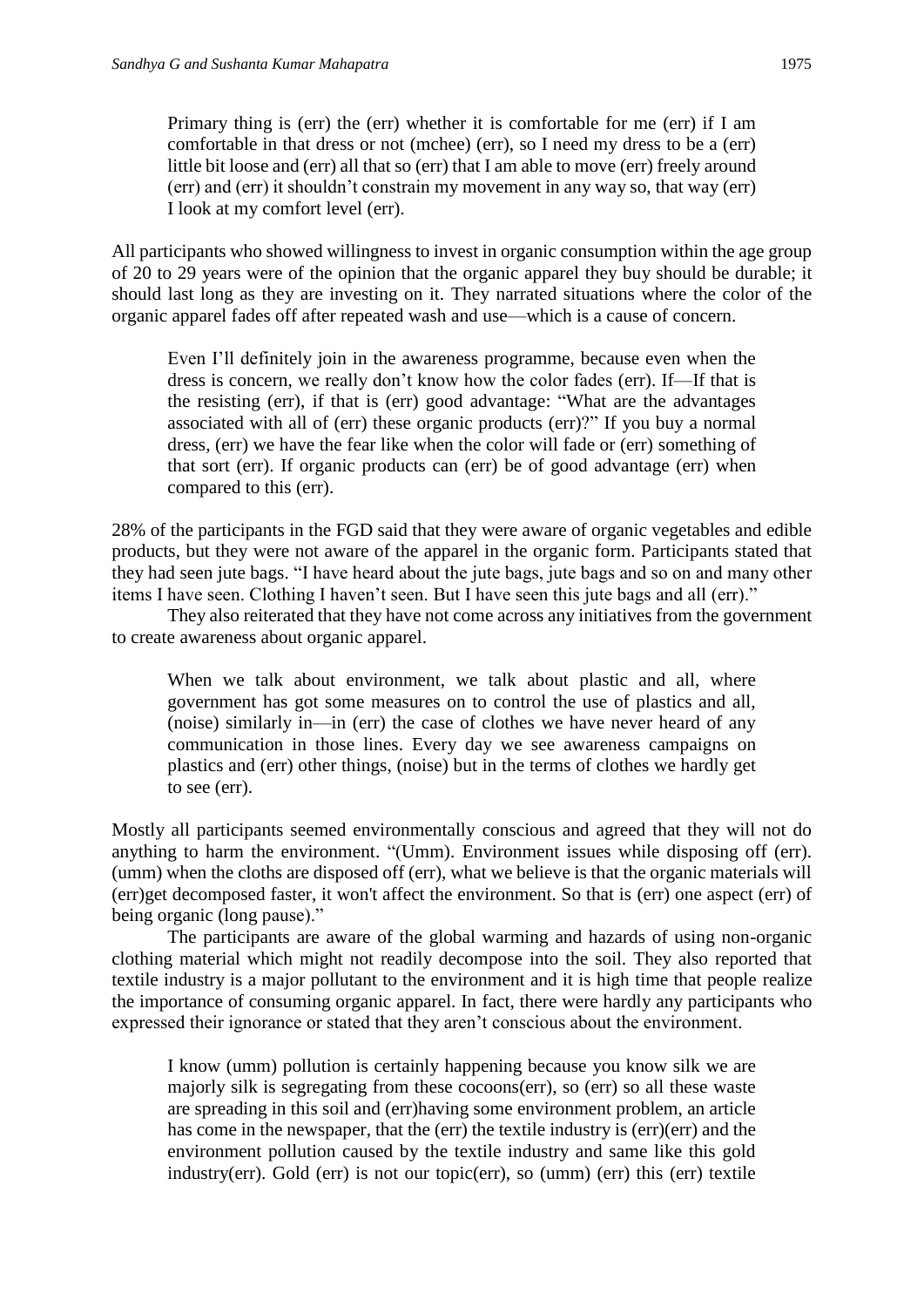Primary thing is (err) the (err) whether it is comfortable for me (err) if I am comfortable in that dress or not (mchee) (err), so I need my dress to be a (err) little bit loose and (err) all that so (err) that I am able to move (err) freely around (err) and (err) it shouldn't constrain my movement in any way so, that way (err) I look at my comfort level (err).

All participants who showed willingness to invest in organic consumption within the age group of 20 to 29 years were of the opinion that the organic apparel they buy should be durable; it should last long as they are investing on it. They narrated situations where the color of the organic apparel fades off after repeated wash and use—which is a cause of concern.

Even I'll definitely join in the awareness programme, because even when the dress is concern, we really don't know how the color fades (err). If—If that is the resisting (err), if that is (err) good advantage: "What are the advantages associated with all of (err) these organic products (err)?" If you buy a normal dress, (err) we have the fear like when the color will fade or (err) something of that sort (err). If organic products can (err) be of good advantage (err) when compared to this (err).

28% of the participants in the FGD said that they were aware of organic vegetables and edible products, but they were not aware of the apparel in the organic form. Participants stated that they had seen jute bags. "I have heard about the jute bags, jute bags and so on and many other items I have seen. Clothing I haven't seen. But I have seen this jute bags and all (err)."

They also reiterated that they have not come across any initiatives from the government to create awareness about organic apparel.

When we talk about environment, we talk about plastic and all, where government has got some measures on to control the use of plastics and all, (noise) similarly in—in (err) the case of clothes we have never heard of any communication in those lines. Every day we see awareness campaigns on plastics and (err) other things, (noise) but in the terms of clothes we hardly get to see (err).

Mostly all participants seemed environmentally conscious and agreed that they will not do anything to harm the environment. "(Umm). Environment issues while disposing off (err). (umm) when the cloths are disposed off (err), what we believe is that the organic materials will (err)get decomposed faster, it won't affect the environment. So that is (err) one aspect (err) of being organic (long pause)."

The participants are aware of the global warming and hazards of using non-organic clothing material which might not readily decompose into the soil. They also reported that textile industry is a major pollutant to the environment and it is high time that people realize the importance of consuming organic apparel. In fact, there were hardly any participants who expressed their ignorance or stated that they aren't conscious about the environment.

I know (umm) pollution is certainly happening because you know silk we are majorly silk is segregating from these cocoons(err), so (err) so all these waste are spreading in this soil and (err)having some environment problem, an article has come in the newspaper, that the (err) the textile industry is (err)(err) and the environment pollution caused by the textile industry and same like this gold industry(err). Gold (err) is not our topic(err), so (umm) (err) this (err) textile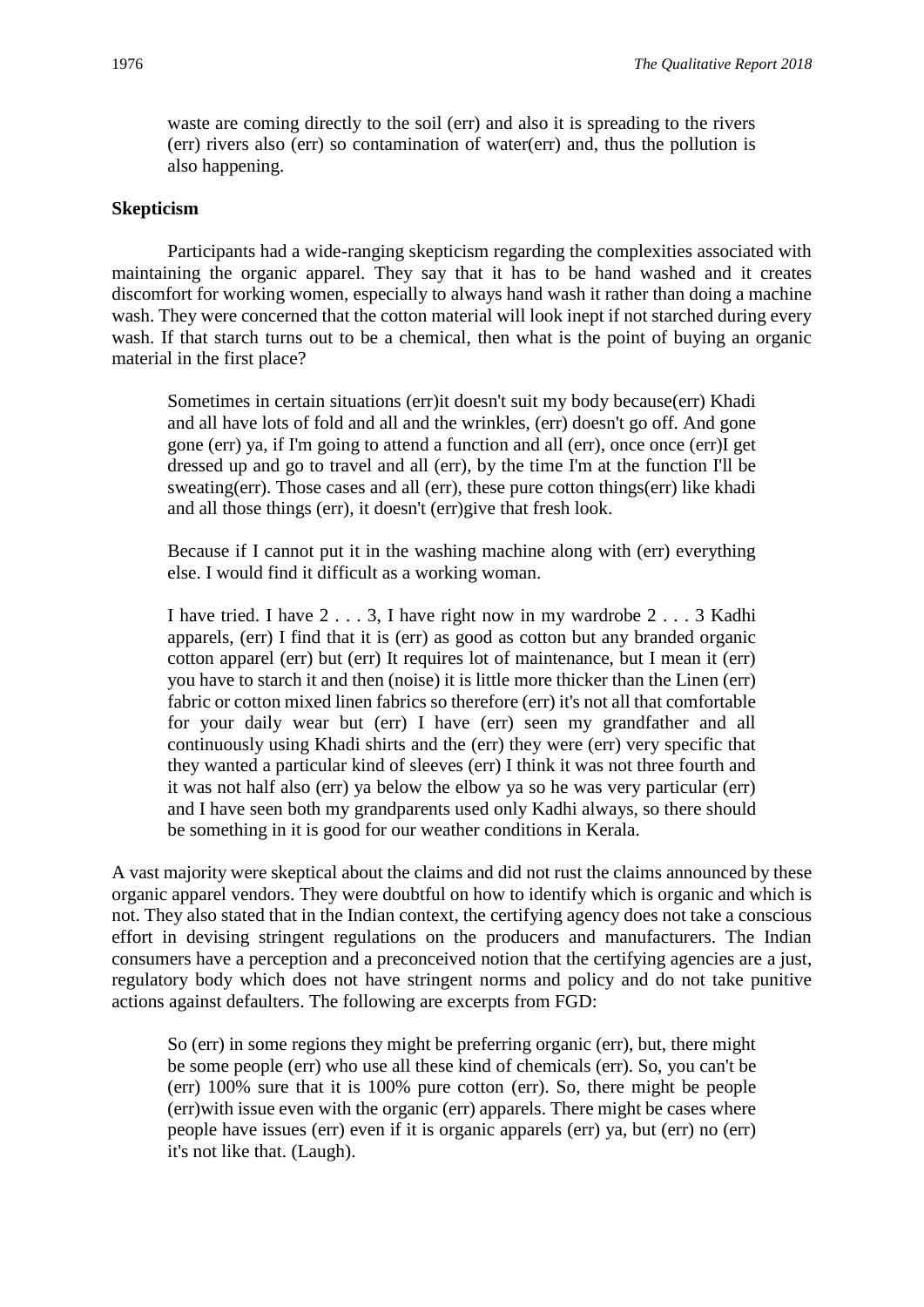waste are coming directly to the soil (err) and also it is spreading to the rivers (err) rivers also (err) so contamination of water(err) and, thus the pollution is also happening.

#### **Skepticism**

Participants had a wide-ranging skepticism regarding the complexities associated with maintaining the organic apparel. They say that it has to be hand washed and it creates discomfort for working women, especially to always hand wash it rather than doing a machine wash. They were concerned that the cotton material will look inept if not starched during every wash. If that starch turns out to be a chemical, then what is the point of buying an organic material in the first place?

Sometimes in certain situations (err)it doesn't suit my body because(err) Khadi and all have lots of fold and all and the wrinkles, (err) doesn't go off. And gone gone (err) ya, if I'm going to attend a function and all (err), once once (err)I get dressed up and go to travel and all (err), by the time I'm at the function I'll be sweating(err). Those cases and all (err), these pure cotton things(err) like khadi and all those things (err), it doesn't (err)give that fresh look.

Because if I cannot put it in the washing machine along with (err) everything else. I would find it difficult as a working woman.

I have tried. I have 2 . . . 3, I have right now in my wardrobe 2 . . . 3 Kadhi apparels, (err) I find that it is (err) as good as cotton but any branded organic cotton apparel (err) but (err) It requires lot of maintenance, but I mean it (err) you have to starch it and then (noise) it is little more thicker than the Linen (err) fabric or cotton mixed linen fabrics so therefore (err) it's not all that comfortable for your daily wear but (err) I have (err) seen my grandfather and all continuously using Khadi shirts and the (err) they were (err) very specific that they wanted a particular kind of sleeves (err) I think it was not three fourth and it was not half also (err) ya below the elbow ya so he was very particular (err) and I have seen both my grandparents used only Kadhi always, so there should be something in it is good for our weather conditions in Kerala.

A vast majority were skeptical about the claims and did not rust the claims announced by these organic apparel vendors. They were doubtful on how to identify which is organic and which is not. They also stated that in the Indian context, the certifying agency does not take a conscious effort in devising stringent regulations on the producers and manufacturers. The Indian consumers have a perception and a preconceived notion that the certifying agencies are a just, regulatory body which does not have stringent norms and policy and do not take punitive actions against defaulters. The following are excerpts from FGD:

So (err) in some regions they might be preferring organic (err), but, there might be some people (err) who use all these kind of chemicals (err). So, you can't be (err) 100% sure that it is 100% pure cotton (err). So, there might be people (err)with issue even with the organic (err) apparels. There might be cases where people have issues (err) even if it is organic apparels (err) ya, but (err) no (err) it's not like that. (Laugh).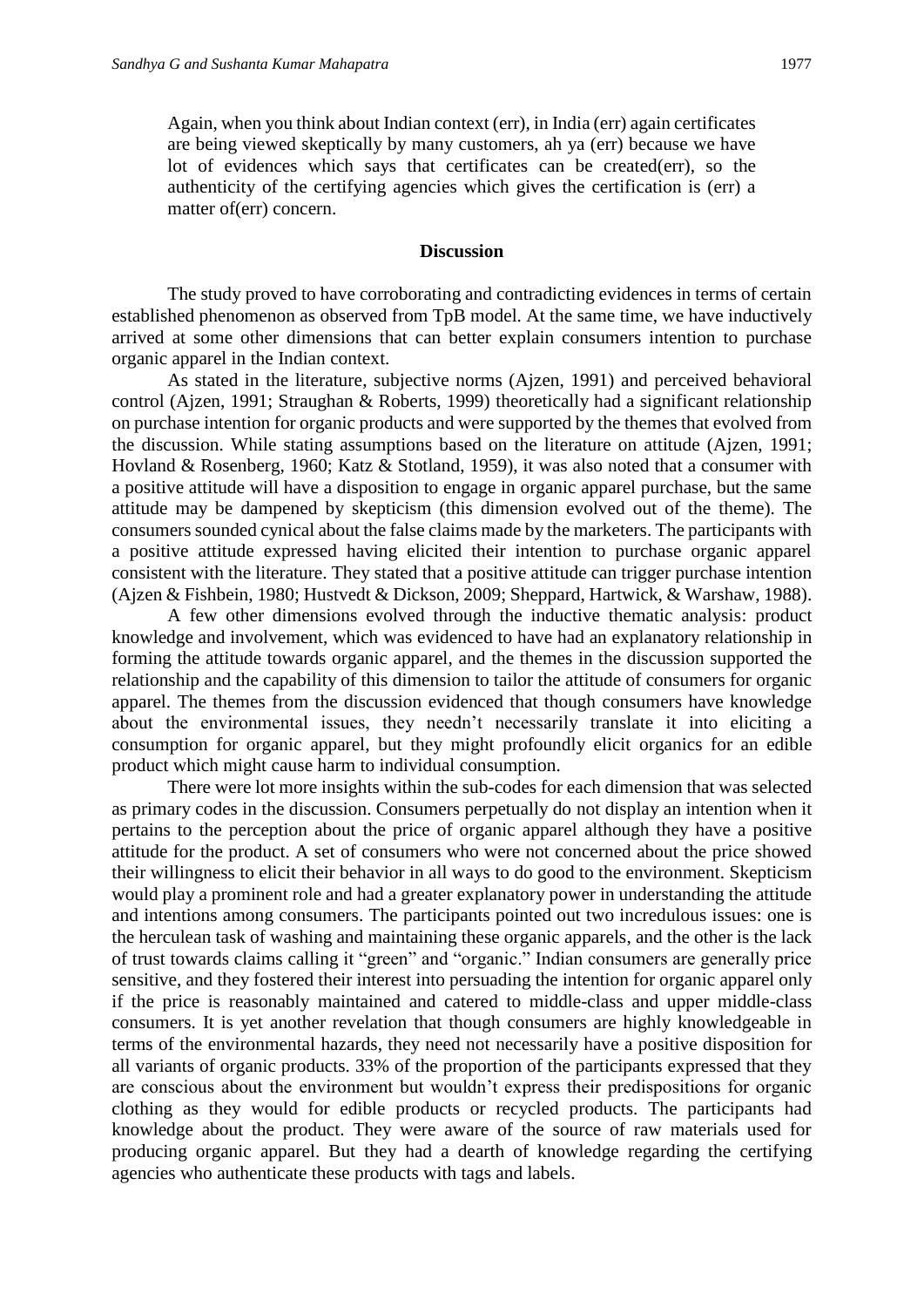Again, when you think about Indian context (err), in India (err) again certificates are being viewed skeptically by many customers, ah ya (err) because we have lot of evidences which says that certificates can be created(err), so the authenticity of the certifying agencies which gives the certification is (err) a matter of(err) concern.

#### **Discussion**

The study proved to have corroborating and contradicting evidences in terms of certain established phenomenon as observed from TpB model. At the same time, we have inductively arrived at some other dimensions that can better explain consumers intention to purchase organic apparel in the Indian context.

As stated in the literature, subjective norms (Ajzen, 1991) and perceived behavioral control (Ajzen, 1991; Straughan & Roberts, 1999) theoretically had a significant relationship on purchase intention for organic products and were supported by the themes that evolved from the discussion. While stating assumptions based on the literature on attitude (Ajzen, 1991; Hovland & Rosenberg, 1960; Katz & Stotland, 1959), it was also noted that a consumer with a positive attitude will have a disposition to engage in organic apparel purchase, but the same attitude may be dampened by skepticism (this dimension evolved out of the theme). The consumers sounded cynical about the false claims made by the marketers. The participants with a positive attitude expressed having elicited their intention to purchase organic apparel consistent with the literature. They stated that a positive attitude can trigger purchase intention (Ajzen & Fishbein, 1980; Hustvedt & Dickson, 2009; Sheppard, Hartwick, & Warshaw, 1988).

A few other dimensions evolved through the inductive thematic analysis: product knowledge and involvement, which was evidenced to have had an explanatory relationship in forming the attitude towards organic apparel, and the themes in the discussion supported the relationship and the capability of this dimension to tailor the attitude of consumers for organic apparel. The themes from the discussion evidenced that though consumers have knowledge about the environmental issues, they needn't necessarily translate it into eliciting a consumption for organic apparel, but they might profoundly elicit organics for an edible product which might cause harm to individual consumption.

There were lot more insights within the sub-codes for each dimension that was selected as primary codes in the discussion. Consumers perpetually do not display an intention when it pertains to the perception about the price of organic apparel although they have a positive attitude for the product. A set of consumers who were not concerned about the price showed their willingness to elicit their behavior in all ways to do good to the environment. Skepticism would play a prominent role and had a greater explanatory power in understanding the attitude and intentions among consumers. The participants pointed out two incredulous issues: one is the herculean task of washing and maintaining these organic apparels, and the other is the lack of trust towards claims calling it "green" and "organic." Indian consumers are generally price sensitive, and they fostered their interest into persuading the intention for organic apparel only if the price is reasonably maintained and catered to middle-class and upper middle-class consumers. It is yet another revelation that though consumers are highly knowledgeable in terms of the environmental hazards, they need not necessarily have a positive disposition for all variants of organic products. 33% of the proportion of the participants expressed that they are conscious about the environment but wouldn't express their predispositions for organic clothing as they would for edible products or recycled products. The participants had knowledge about the product. They were aware of the source of raw materials used for producing organic apparel. But they had a dearth of knowledge regarding the certifying agencies who authenticate these products with tags and labels.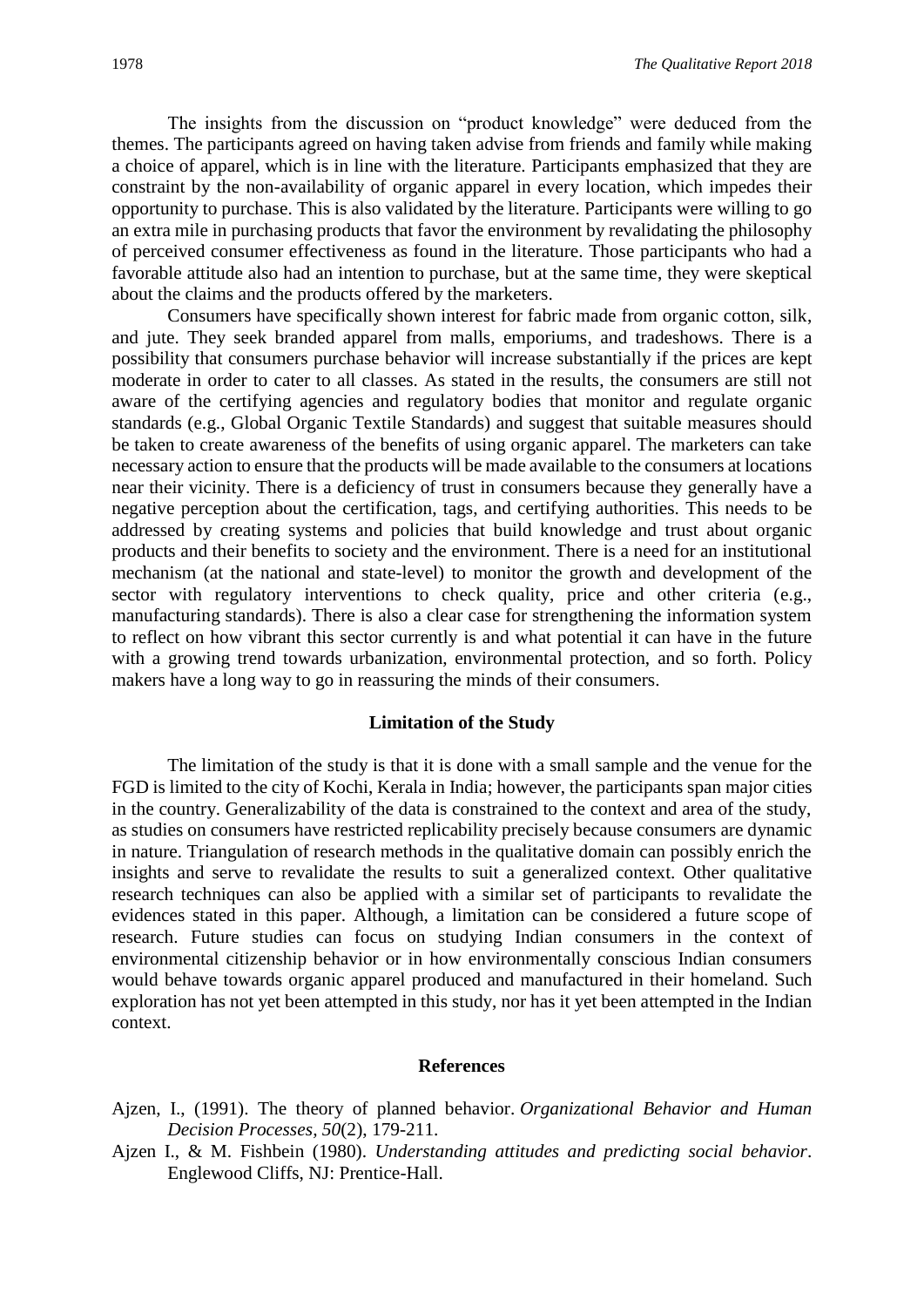The insights from the discussion on "product knowledge" were deduced from the themes. The participants agreed on having taken advise from friends and family while making a choice of apparel, which is in line with the literature. Participants emphasized that they are constraint by the non-availability of organic apparel in every location, which impedes their opportunity to purchase. This is also validated by the literature. Participants were willing to go an extra mile in purchasing products that favor the environment by revalidating the philosophy of perceived consumer effectiveness as found in the literature. Those participants who had a favorable attitude also had an intention to purchase, but at the same time, they were skeptical about the claims and the products offered by the marketers.

Consumers have specifically shown interest for fabric made from organic cotton, silk, and jute. They seek branded apparel from malls, emporiums, and tradeshows. There is a possibility that consumers purchase behavior will increase substantially if the prices are kept moderate in order to cater to all classes. As stated in the results, the consumers are still not aware of the certifying agencies and regulatory bodies that monitor and regulate organic standards (e.g., Global Organic Textile Standards) and suggest that suitable measures should be taken to create awareness of the benefits of using organic apparel. The marketers can take necessary action to ensure that the products will be made available to the consumers at locations near their vicinity. There is a deficiency of trust in consumers because they generally have a negative perception about the certification, tags, and certifying authorities. This needs to be addressed by creating systems and policies that build knowledge and trust about organic products and their benefits to society and the environment. There is a need for an institutional mechanism (at the national and state-level) to monitor the growth and development of the sector with regulatory interventions to check quality, price and other criteria (e.g., manufacturing standards). There is also a clear case for strengthening the information system to reflect on how vibrant this sector currently is and what potential it can have in the future with a growing trend towards urbanization, environmental protection, and so forth. Policy makers have a long way to go in reassuring the minds of their consumers.

#### **Limitation of the Study**

The limitation of the study is that it is done with a small sample and the venue for the FGD is limited to the city of Kochi, Kerala in India; however, the participants span major cities in the country. Generalizability of the data is constrained to the context and area of the study, as studies on consumers have restricted replicability precisely because consumers are dynamic in nature. Triangulation of research methods in the qualitative domain can possibly enrich the insights and serve to revalidate the results to suit a generalized context. Other qualitative research techniques can also be applied with a similar set of participants to revalidate the evidences stated in this paper. Although, a limitation can be considered a future scope of research. Future studies can focus on studying Indian consumers in the context of environmental citizenship behavior or in how environmentally conscious Indian consumers would behave towards organic apparel produced and manufactured in their homeland. Such exploration has not yet been attempted in this study, nor has it yet been attempted in the Indian context.

#### **References**

- Ajzen, I., (1991). The theory of planned behavior. *Organizational Behavior and Human Decision Processes, 50*(2), 179-211.
- Ajzen I., & M. Fishbein (1980). *Understanding attitudes and predicting social behavior*. Englewood Cliffs, NJ: Prentice-Hall.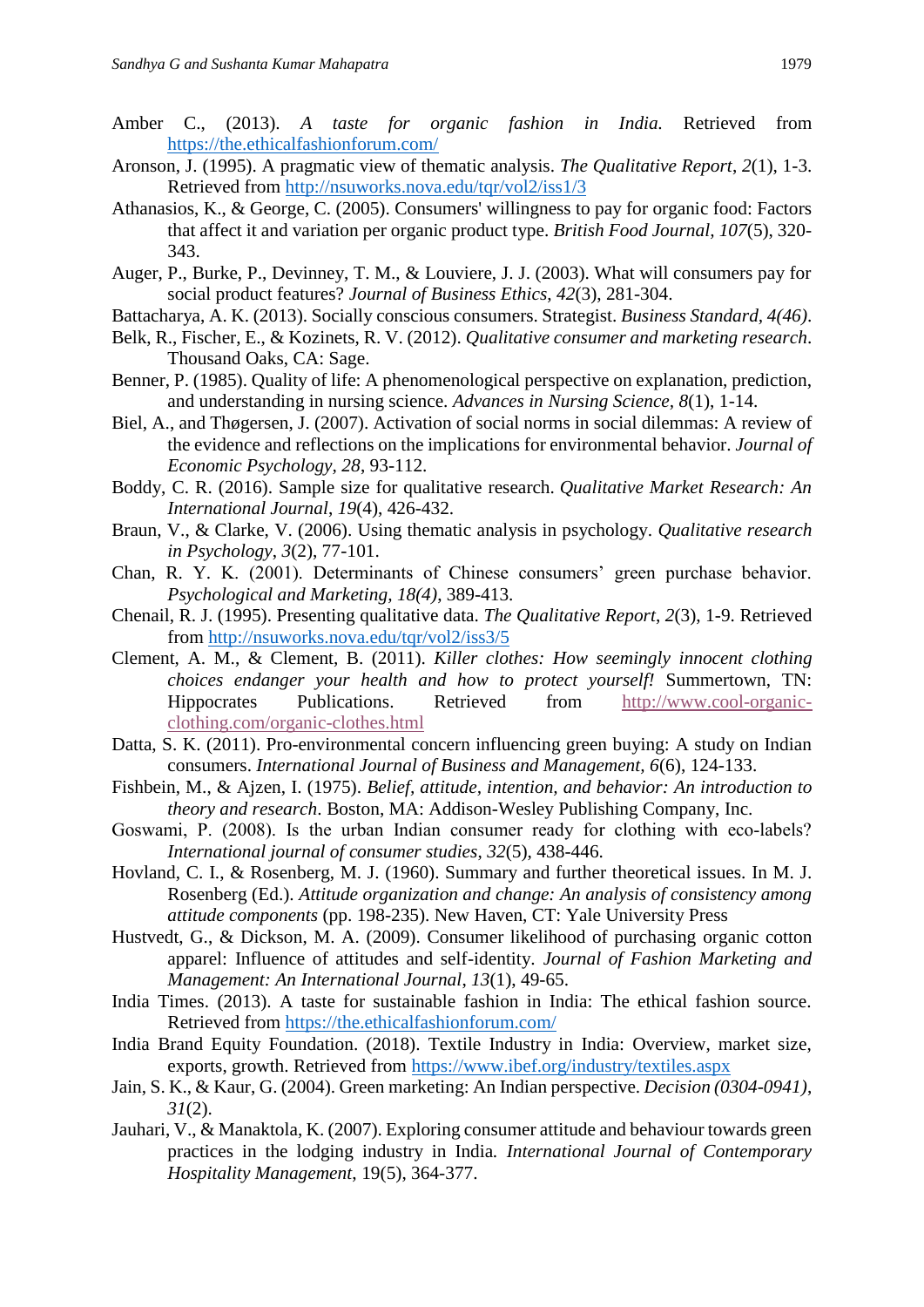- Amber C., (2013). *A taste for organic fashion in India.* Retrieved from <https://the.ethicalfashionforum.com/>
- Aronson, J. (1995). A pragmatic view of thematic analysis. *The Qualitative Report*, *2*(1), 1-3. Retrieved from<http://nsuworks.nova.edu/tqr/vol2/iss1/3>
- Athanasios, K., & George, C. (2005). Consumers' willingness to pay for organic food: Factors that affect it and variation per organic product type. *British Food Journal, 107*(5), 320- 343.
- Auger, P., Burke, P., Devinney, T. M., & Louviere, J. J. (2003). What will consumers pay for social product features? *Journal of Business Ethics*, *42*(3), 281-304.
- Battacharya, A. K. (2013). Socially conscious consumers. Strategist. *Business Standard, 4(46)*.
- Belk, R., Fischer, E., & Kozinets, R. V. (2012). *Qualitative consumer and marketing research*. Thousand Oaks, CA: Sage.
- Benner, P. (1985). Quality of life: A phenomenological perspective on explanation, prediction, and understanding in nursing science. *Advances in Nursing Science, 8*(1), 1-14.
- Biel, A., and Thøgersen, J. (2007). Activation of social norms in social dilemmas: A review of the evidence and reflections on the implications for environmental behavior. *Journal of Economic Psychology, 28*, 93-112.
- Boddy, C. R. (2016). Sample size for qualitative research. *Qualitative Market Research: An International Journal*, *19*(4), 426-432.
- Braun, V., & Clarke, V. (2006). Using thematic analysis in psychology. *Qualitative research in Psychology*, *3*(2), 77-101.
- Chan, R. Y. K. (2001). Determinants of Chinese consumers' green purchase behavior. *Psychological and Marketing, 18(4)*, 389-413.
- Chenail, R. J. (1995). Presenting qualitative data. *The Qualitative Report*, *2*(3), 1-9. Retrieved from<http://nsuworks.nova.edu/tqr/vol2/iss3/5>
- Clement, A. M., & Clement, B. (2011). *Killer clothes: How seemingly innocent clothing choices endanger your health and how to protect yourself!* Summertown, TN: Hippocrates Publications. Retrieved from [http://www.cool-organic](http://www.cool-organic-clothing.com/organic-clothes.html)[clothing.com/organic-clothes.html](http://www.cool-organic-clothing.com/organic-clothes.html)
- Datta, S. K. (2011). Pro-environmental concern influencing green buying: A study on Indian consumers. *International Journal of Business and Management, 6*(6), 124-133.
- Fishbein, M., & Ajzen, I. (1975). *Belief, attitude, intention, and behavior: An introduction to theory and research*. Boston, MA: Addison-Wesley Publishing Company, Inc.
- Goswami, P. (2008). Is the urban Indian consumer ready for clothing with eco-labels? *International journal of consumer studies*, *32*(5), 438-446.
- Hovland, C. I., & Rosenberg, M. J. (1960). Summary and further theoretical issues. In M. J. Rosenberg (Ed.). *Attitude organization and change: An analysis of consistency among attitude components* (pp. 198-235). New Haven, CT: Yale University Press
- Hustvedt, G., & Dickson, M. A. (2009). Consumer likelihood of purchasing organic cotton apparel: Influence of attitudes and self-identity. *Journal of Fashion Marketing and Management: An International Journal*, *13*(1), 49-65.
- India Times. (2013). A taste for sustainable fashion in India: The ethical fashion source. Retrieved from<https://the.ethicalfashionforum.com/>
- India Brand Equity Foundation. (2018). Textile Industry in India: Overview, market size, exports, growth. Retrieved from<https://www.ibef.org/industry/textiles.aspx>
- Jain, S. K., & Kaur, G. (2004). Green marketing: An Indian perspective. *Decision (0304-0941)*, *31*(2).
- Jauhari, V., & Manaktola, K. (2007). Exploring consumer attitude and behaviour towards green practices in the lodging industry in India*. International Journal of Contemporary Hospitality Management*, 19(5), 364-377.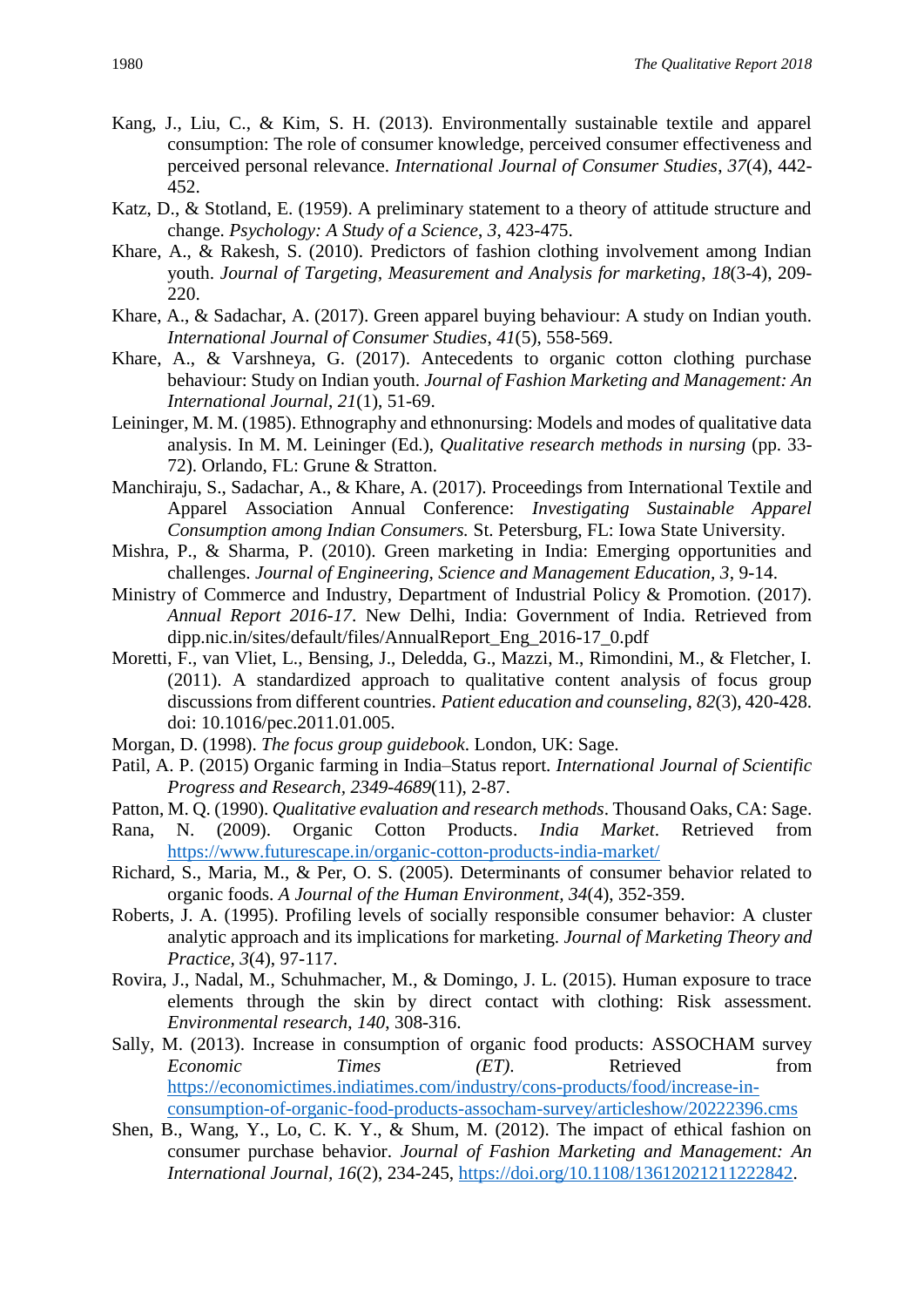- Kang, J., Liu, C., & Kim, S. H. (2013). Environmentally sustainable textile and apparel consumption: The role of consumer knowledge, perceived consumer effectiveness and perceived personal relevance. *International Journal of Consumer Studies*, *37*(4), 442- 452.
- Katz, D., & Stotland, E. (1959). A preliminary statement to a theory of attitude structure and change. *Psychology: A Study of a Science*, *3*, 423-475.
- Khare, A., & Rakesh, S. (2010). Predictors of fashion clothing involvement among Indian youth. *Journal of Targeting, Measurement and Analysis for marketing*, *18*(3-4), 209- 220.
- Khare, A., & Sadachar, A. (2017). Green apparel buying behaviour: A study on Indian youth. *International Journal of Consumer Studies*, *41*(5), 558-569.
- Khare, A., & Varshneya, G. (2017). Antecedents to organic cotton clothing purchase behaviour: Study on Indian youth. *Journal of Fashion Marketing and Management: An International Journal*, *21*(1), 51-69.
- Leininger, M. M. (1985). Ethnography and ethnonursing: Models and modes of qualitative data analysis. In M. M. Leininger (Ed.), *Qualitative research methods in nursing* (pp. 33- 72). Orlando, FL: Grune & Stratton.
- Manchiraju, S., Sadachar, A., & Khare, A. (2017). Proceedings from International Textile and Apparel Association Annual Conference: *Investigating Sustainable Apparel Consumption among Indian Consumers.* St. Petersburg, FL: Iowa State University.
- Mishra, P., & Sharma, P. (2010). Green marketing in India: Emerging opportunities and challenges. *Journal of Engineering, Science and Management Education, 3*, 9-14.
- Ministry of Commerce and Industry, Department of Industrial Policy & Promotion. (2017). *Annual Report 2016-17*. New Delhi, India: Government of India. Retrieved from dipp.nic.in/sites/default/files/AnnualReport\_Eng\_2016-17\_0.pdf
- Moretti, F., van Vliet, L., Bensing, J., Deledda, G., Mazzi, M., Rimondini, M., & Fletcher, I. (2011). A standardized approach to qualitative content analysis of focus group discussions from different countries. *Patient education and counseling*, *82*(3), 420-428. doi: 10.1016/pec.2011.01.005.
- Morgan, D. (1998). *The focus group guidebook*. London, UK: Sage.
- Patil, A. P. (2015) Organic farming in India–Status report. *International Journal of Scientific Progress and Research, 2349-4689*(11), 2-87.
- Patton, M. Q. (1990). *Qualitative evaluation and research methods*. Thousand Oaks, CA: Sage.
- Rana, N. (2009). Organic Cotton Products. *India Market*. Retrieved from <https://www.futurescape.in/organic-cotton-products-india-market/>
- Richard, S., Maria, M., & Per, O. S. (2005). Determinants of consumer behavior related to organic foods. *A Journal of the Human Environment, 34*(4), 352-359.
- Roberts, J. A. (1995). Profiling levels of socially responsible consumer behavior: A cluster analytic approach and its implications for marketing. *Journal of Marketing Theory and Practice, 3*(4), 97-117.
- Rovira, J., Nadal, M., Schuhmacher, M., & Domingo, J. L. (2015). Human exposure to trace elements through the skin by direct contact with clothing: Risk assessment. *Environmental research*, *140*, 308-316.
- Sally, M. (2013). Increase in consumption of organic food products: ASSOCHAM survey *Economic Times (ET)*. Retrieved from [https://economictimes.indiatimes.com/industry/cons-products/food/increase-in](https://economictimes.indiatimes.com/industry/cons-products/food/increase-in-consumption-of-organic-food-products-assocham-survey/articleshow/20222396.cms)[consumption-of-organic-food-products-assocham-survey/articleshow/20222396.cms](https://economictimes.indiatimes.com/industry/cons-products/food/increase-in-consumption-of-organic-food-products-assocham-survey/articleshow/20222396.cms)
- Shen, B., Wang, Y., Lo, C. K. Y., & Shum, M. (2012). The impact of ethical fashion on consumer purchase behavior. *Journal of Fashion Marketing and Management: An International Journal, 16*(2), 234-245, [https://doi.org/10.1108/13612021211222842.](https://doi.org/10.1108/13612021211222842)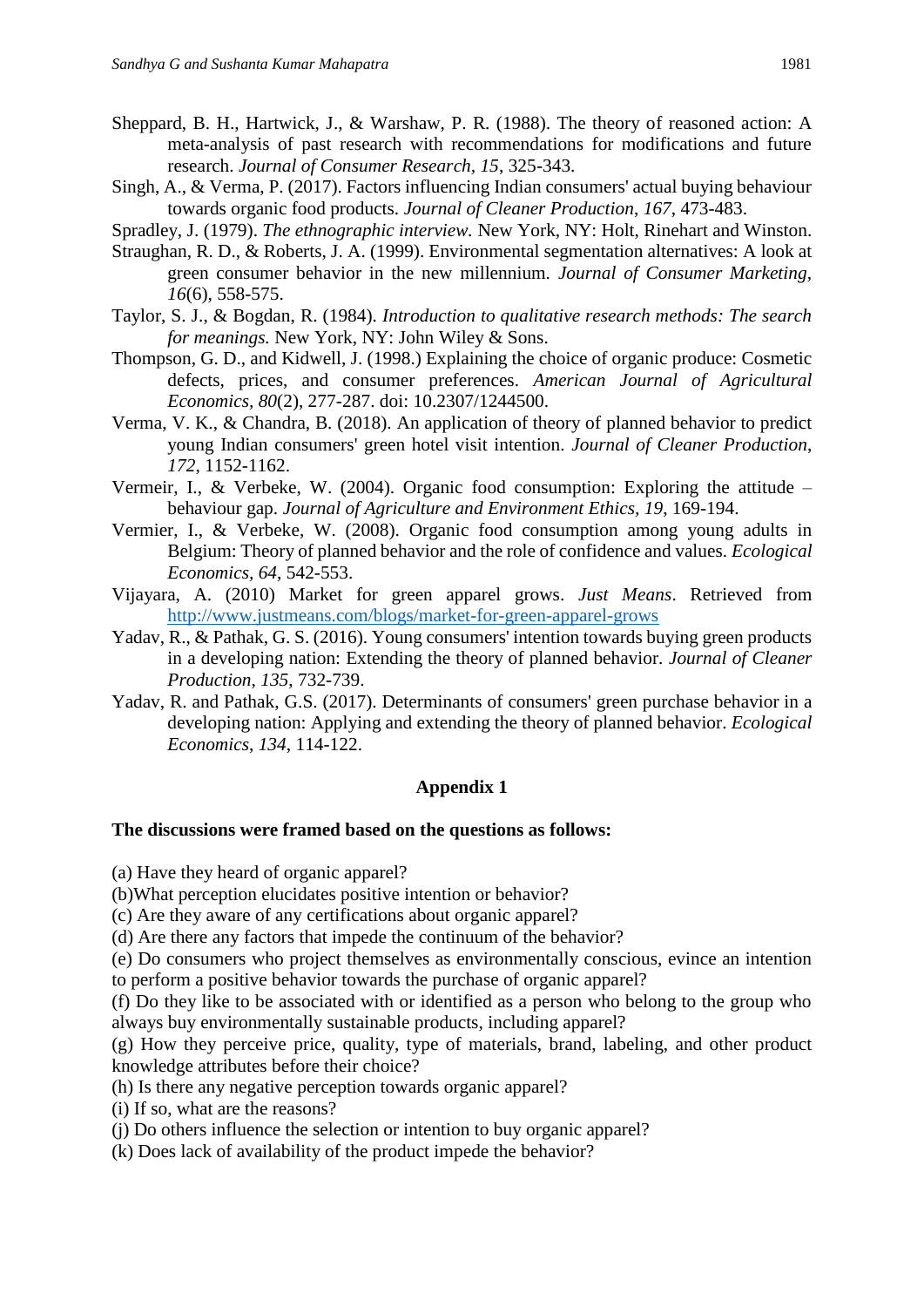- Sheppard, B. H., Hartwick, J., & Warshaw, P. R. (1988). The theory of reasoned action: A meta-analysis of past research with recommendations for modifications and future research. *Journal of Consumer Research, 15*, 325-343.
- Singh, A., & Verma, P. (2017). Factors influencing Indian consumers' actual buying behaviour towards organic food products. *Journal of Cleaner Production*, *167*, 473-483.
- Spradley, J. (1979). *The ethnographic interview.* New York, NY: Holt, Rinehart and Winston.
- Straughan, R. D., & Roberts, J. A. (1999). Environmental segmentation alternatives: A look at green consumer behavior in the new millennium. *Journal of Consumer Marketing, 16*(6), 558-575.
- Taylor, S. J., & Bogdan, R. (1984). *Introduction to qualitative research methods: The search for meanings.* New York, NY: John Wiley & Sons.
- Thompson, G. D., and Kidwell, J. (1998.) Explaining the choice of organic produce: Cosmetic defects, prices, and consumer preferences. *American Journal of Agricultural Economics, 80*(2), 277-287. doi: 10.2307/1244500.
- Verma, V. K., & Chandra, B. (2018). An application of theory of planned behavior to predict young Indian consumers' green hotel visit intention. *Journal of Cleaner Production*, *172*, 1152-1162.
- Vermeir, I., & Verbeke, W. (2004). Organic food consumption: Exploring the attitude behaviour gap. *Journal of Agriculture and Environment Ethics, 19*, 169-194.
- Vermier, I., & Verbeke, W. (2008). Organic food consumption among young adults in Belgium: Theory of planned behavior and the role of confidence and values. *Ecological Economics, 64*, 542-553.
- Vijayara, A. (2010) Market for green apparel grows. *Just Means*. Retrieved from <http://www.justmeans.com/blogs/market-for-green-apparel-grows>
- Yadav, R., & Pathak, G. S. (2016). Young consumers' intention towards buying green products in a developing nation: Extending the theory of planned behavior. *Journal of Cleaner Production*, *135*, 732-739.
- Yadav, R. and Pathak, G.S. (2017). Determinants of consumers' green purchase behavior in a developing nation: Applying and extending the theory of planned behavior. *Ecological Economics*, *134*, 114-122.

#### **Appendix 1**

#### **The discussions were framed based on the questions as follows:**

(a) Have they heard of organic apparel?

(b)What perception elucidates positive intention or behavior?

(c) Are they aware of any certifications about organic apparel?

(d) Are there any factors that impede the continuum of the behavior?

(e) Do consumers who project themselves as environmentally conscious, evince an intention to perform a positive behavior towards the purchase of organic apparel?

(f) Do they like to be associated with or identified as a person who belong to the group who always buy environmentally sustainable products, including apparel?

(g) How they perceive price, quality, type of materials, brand, labeling, and other product knowledge attributes before their choice?

(h) Is there any negative perception towards organic apparel?

(i) If so, what are the reasons?

(j) Do others influence the selection or intention to buy organic apparel?

(k) Does lack of availability of the product impede the behavior?